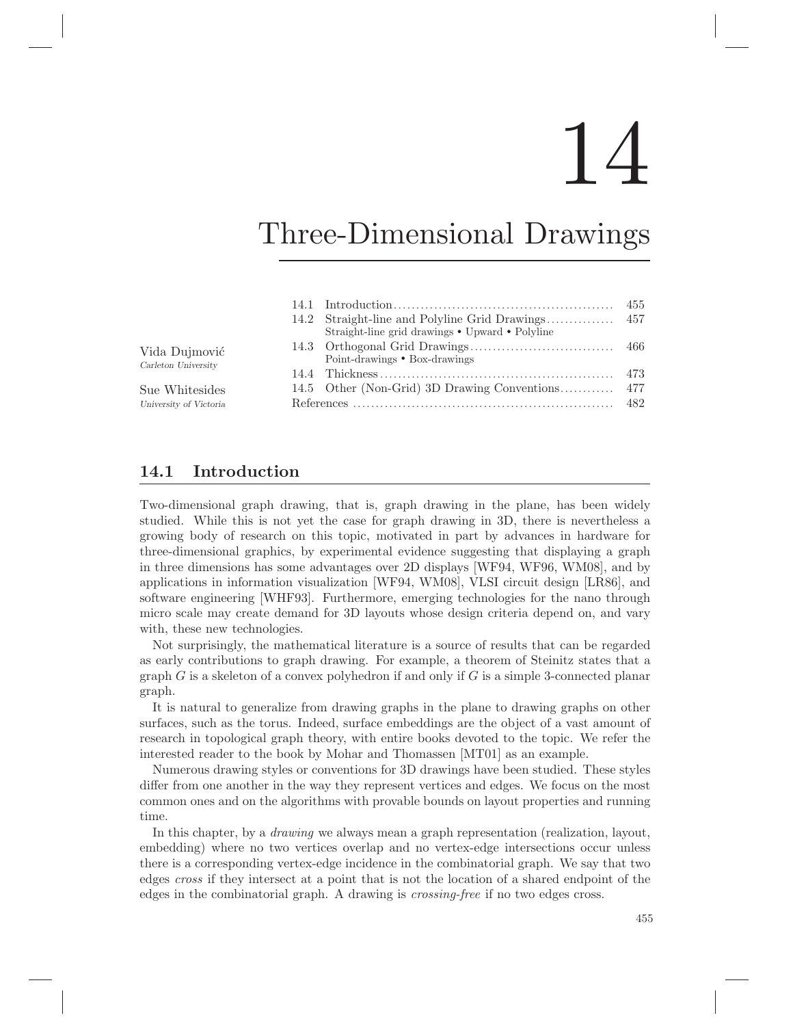# 14

## Three-Dimensional Drawings

|                                      | Straight-line grid drawings • Upward • Polyline |  |
|--------------------------------------|-------------------------------------------------|--|
| Vida Dujmović<br>Carleton University | Point-drawings • Box-drawings                   |  |
|                                      |                                                 |  |
| Sue Whitesides                       |                                                 |  |
| University of Victoria               |                                                 |  |

#### 14.1 Introduction

Two-dimensional graph drawing, that is, graph drawing in the plane, has been widely studied. While this is not yet the case for graph drawing in 3D, there is nevertheless a growing body of research on this topic, motivated in part by advances in hardware for three-dimensional graphics, by experimental evidence suggesting that displaying a graph in three dimensions has some advantages over 2D displays [WF94, WF96, WM08], and by applications in information visualization [WF94, WM08], VLSI circuit design [LR86], and software engineering [WHF93]. Furthermore, emerging technologies for the nano through micro scale may create demand for 3D layouts whose design criteria depend on, and vary with, these new technologies.

Not surprisingly, the mathematical literature is a source of results that can be regarded as early contributions to graph drawing. For example, a theorem of Steinitz states that a graph G is a skeleton of a convex polyhedron if and only if G is a simple 3-connected planar graph.

It is natural to generalize from drawing graphs in the plane to drawing graphs on other surfaces, such as the torus. Indeed, surface embeddings are the object of a vast amount of research in topological graph theory, with entire books devoted to the topic. We refer the interested reader to the book by Mohar and Thomassen [MT01] as an example.

Numerous drawing styles or conventions for 3D drawings have been studied. These styles differ from one another in the way they represent vertices and edges. We focus on the most common ones and on the algorithms with provable bounds on layout properties and running time.

In this chapter, by a drawing we always mean a graph representation (realization, layout, embedding) where no two vertices overlap and no vertex-edge intersections occur unless there is a corresponding vertex-edge incidence in the combinatorial graph. We say that two edges cross if they intersect at a point that is not the location of a shared endpoint of the edges in the combinatorial graph. A drawing is crossing-free if no two edges cross.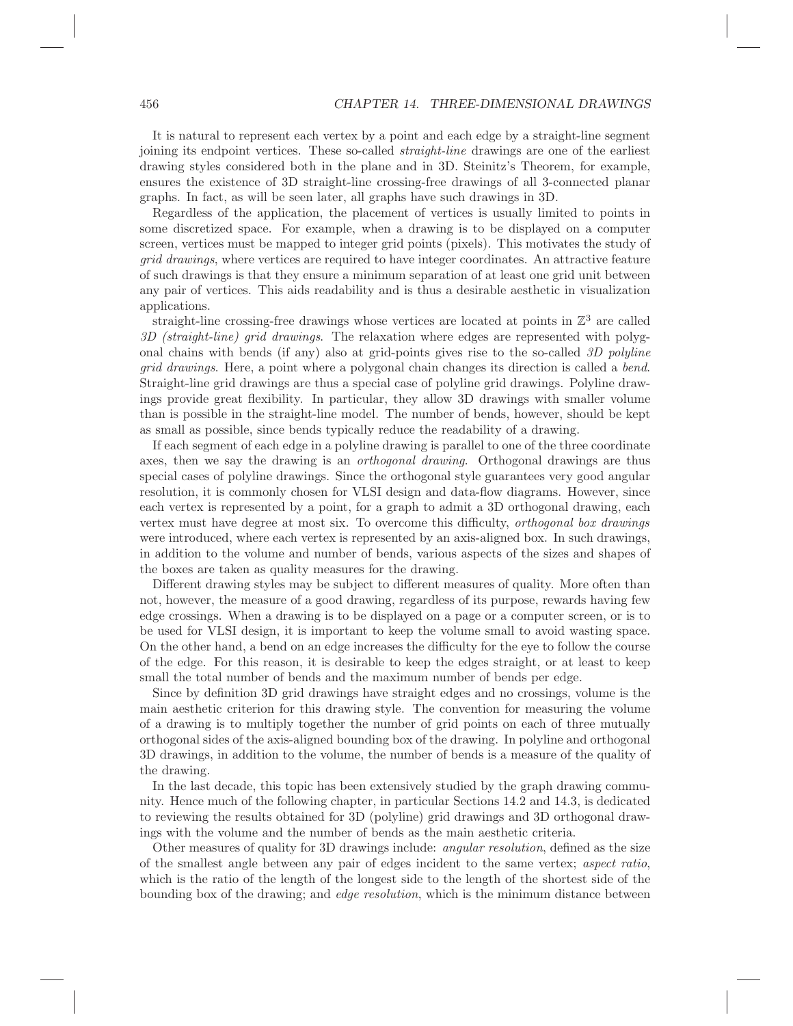It is natural to represent each vertex by a point and each edge by a straight-line segment joining its endpoint vertices. These so-called straight-line drawings are one of the earliest drawing styles considered both in the plane and in 3D. Steinitz's Theorem, for example, ensures the existence of 3D straight-line crossing-free drawings of all 3-connected planar graphs. In fact, as will be seen later, all graphs have such drawings in 3D.

Regardless of the application, the placement of vertices is usually limited to points in some discretized space. For example, when a drawing is to be displayed on a computer screen, vertices must be mapped to integer grid points (pixels). This motivates the study of grid drawings, where vertices are required to have integer coordinates. An attractive feature of such drawings is that they ensure a minimum separation of at least one grid unit between any pair of vertices. This aids readability and is thus a desirable aesthetic in visualization applications.

straight-line crossing-free drawings whose vertices are located at points in  $\mathbb{Z}^3$  are called  $3D$  (straight-line) grid drawings. The relaxation where edges are represented with polygonal chains with bends (if any) also at grid-points gives rise to the so-called 3D polyline grid drawings. Here, a point where a polygonal chain changes its direction is called a bend. Straight-line grid drawings are thus a special case of polyline grid drawings. Polyline drawings provide great flexibility. In particular, they allow 3D drawings with smaller volume than is possible in the straight-line model. The number of bends, however, should be kept as small as possible, since bends typically reduce the readability of a drawing.

If each segment of each edge in a polyline drawing is parallel to one of the three coordinate axes, then we say the drawing is an *orthogonal drawing*. Orthogonal drawings are thus special cases of polyline drawings. Since the orthogonal style guarantees very good angular resolution, it is commonly chosen for VLSI design and data-flow diagrams. However, since each vertex is represented by a point, for a graph to admit a 3D orthogonal drawing, each vertex must have degree at most six. To overcome this difficulty, orthogonal box drawings were introduced, where each vertex is represented by an axis-aligned box. In such drawings, in addition to the volume and number of bends, various aspects of the sizes and shapes of the boxes are taken as quality measures for the drawing.

Different drawing styles may be subject to different measures of quality. More often than not, however, the measure of a good drawing, regardless of its purpose, rewards having few edge crossings. When a drawing is to be displayed on a page or a computer screen, or is to be used for VLSI design, it is important to keep the volume small to avoid wasting space. On the other hand, a bend on an edge increases the difficulty for the eye to follow the course of the edge. For this reason, it is desirable to keep the edges straight, or at least to keep small the total number of bends and the maximum number of bends per edge.

Since by definition 3D grid drawings have straight edges and no crossings, volume is the main aesthetic criterion for this drawing style. The convention for measuring the volume of a drawing is to multiply together the number of grid points on each of three mutually orthogonal sides of the axis-aligned bounding box of the drawing. In polyline and orthogonal 3D drawings, in addition to the volume, the number of bends is a measure of the quality of the drawing.

In the last decade, this topic has been extensively studied by the graph drawing community. Hence much of the following chapter, in particular Sections 14.2 and 14.3, is dedicated to reviewing the results obtained for 3D (polyline) grid drawings and 3D orthogonal drawings with the volume and the number of bends as the main aesthetic criteria.

Other measures of quality for 3D drawings include: *angular resolution*, defined as the size of the smallest angle between any pair of edges incident to the same vertex; aspect ratio, which is the ratio of the length of the longest side to the length of the shortest side of the bounding box of the drawing; and *edge resolution*, which is the minimum distance between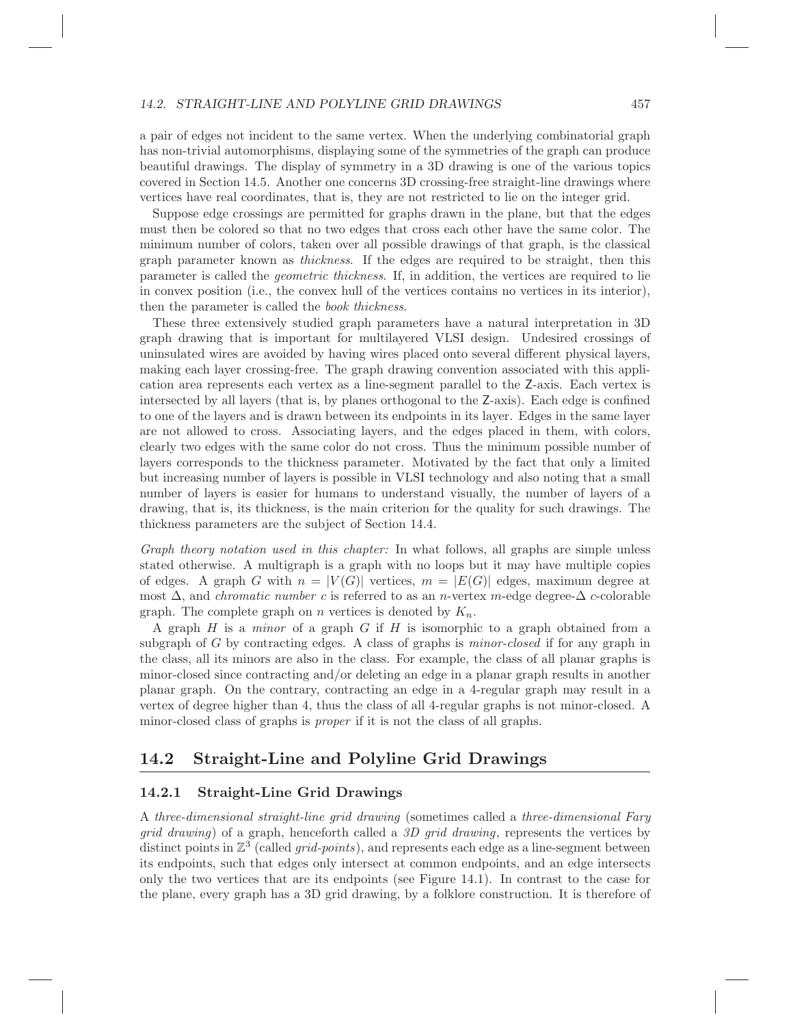#### 14.2. STRAIGHT-LINE AND POLYLINE GRID DRAWINGS 457

a pair of edges not incident to the same vertex. When the underlying combinatorial graph has non-trivial automorphisms, displaying some of the symmetries of the graph can produce beautiful drawings. The display of symmetry in a 3D drawing is one of the various topics covered in Section 14.5. Another one concerns 3D crossing-free straight-line drawings where vertices have real coordinates, that is, they are not restricted to lie on the integer grid.

Suppose edge crossings are permitted for graphs drawn in the plane, but that the edges must then be colored so that no two edges that cross each other have the same color. The minimum number of colors, taken over all possible drawings of that graph, is the classical graph parameter known as thickness. If the edges are required to be straight, then this parameter is called the *geometric thickness*. If, in addition, the vertices are required to lie in convex position (i.e., the convex hull of the vertices contains no vertices in its interior), then the parameter is called the book thickness.

These three extensively studied graph parameters have a natural interpretation in 3D graph drawing that is important for multilayered VLSI design. Undesired crossings of uninsulated wires are avoided by having wires placed onto several different physical layers, making each layer crossing-free. The graph drawing convention associated with this application area represents each vertex as a line-segment parallel to the Z-axis. Each vertex is intersected by all layers (that is, by planes orthogonal to the Z-axis). Each edge is confined to one of the layers and is drawn between its endpoints in its layer. Edges in the same layer are not allowed to cross. Associating layers, and the edges placed in them, with colors, clearly two edges with the same color do not cross. Thus the minimum possible number of layers corresponds to the thickness parameter. Motivated by the fact that only a limited but increasing number of layers is possible in VLSI technology and also noting that a small number of layers is easier for humans to understand visually, the number of layers of a drawing, that is, its thickness, is the main criterion for the quality for such drawings. The thickness parameters are the subject of Section 14.4.

Graph theory notation used in this chapter: In what follows, all graphs are simple unless stated otherwise. A multigraph is a graph with no loops but it may have multiple copies of edges. A graph G with  $n = |V(G)|$  vertices,  $m = |E(G)|$  edges, maximum degree at most  $\Delta$ , and *chromatic number c* is referred to as an *n*-vertex *m*-edge degree- $\Delta$  c-colorable graph. The complete graph on n vertices is denoted by  $K_n$ .

A graph H is a *minor* of a graph G if H is isomorphic to a graph obtained from a subgraph of  $G$  by contracting edges. A class of graphs is *minor-closed* if for any graph in the class, all its minors are also in the class. For example, the class of all planar graphs is minor-closed since contracting and/or deleting an edge in a planar graph results in another planar graph. On the contrary, contracting an edge in a 4-regular graph may result in a vertex of degree higher than 4, thus the class of all 4-regular graphs is not minor-closed. A minor-closed class of graphs is *proper* if it is not the class of all graphs.

#### 14.2 Straight-Line and Polyline Grid Drawings

#### 14.2.1 Straight-Line Grid Drawings

A three-dimensional straight-line grid drawing (sometimes called a three-dimensional Fary  $grid$  drawing) of a graph, henceforth called a 3D grid drawing, represents the vertices by distinct points in  $\mathbb{Z}^3$  (called grid-points), and represents each edge as a line-segment between its endpoints, such that edges only intersect at common endpoints, and an edge intersects only the two vertices that are its endpoints (see Figure 14.1). In contrast to the case for the plane, every graph has a 3D grid drawing, by a folklore construction. It is therefore of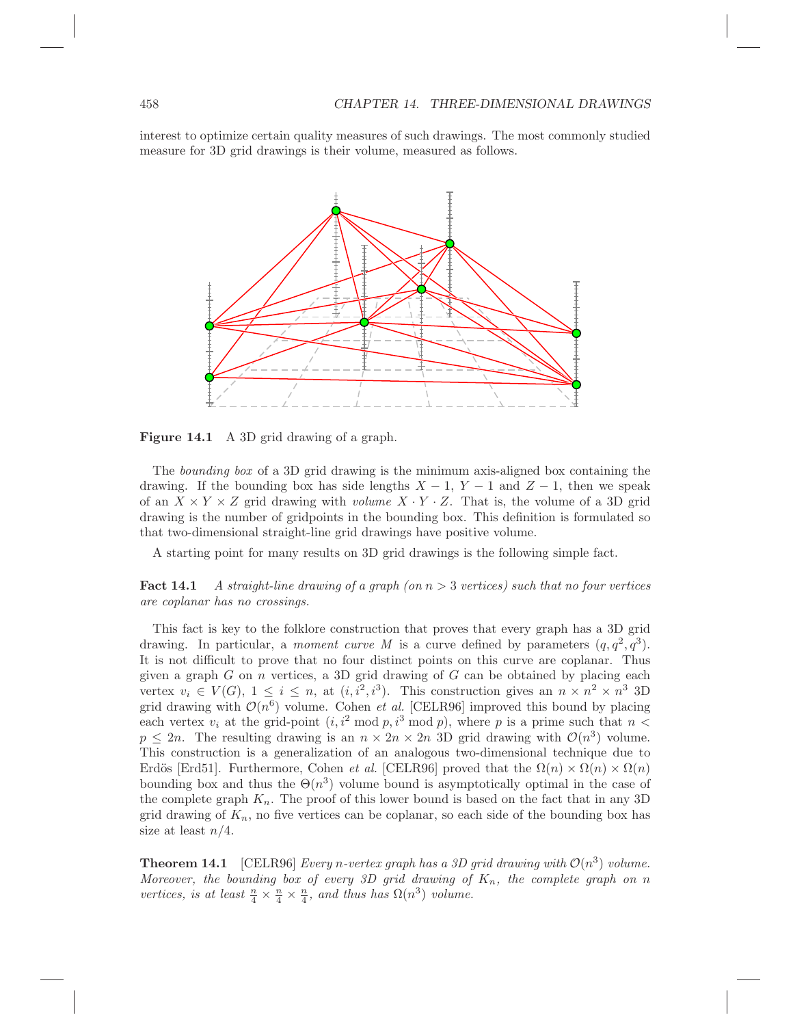interest to optimize certain quality measures of such drawings. The most commonly studied measure for 3D grid drawings is their volume, measured as follows.



Figure 14.1 A 3D grid drawing of a graph.

The bounding box of a 3D grid drawing is the minimum axis-aligned box containing the drawing. If the bounding box has side lengths  $X - 1$ ,  $Y - 1$  and  $Z - 1$ , then we speak of an  $X \times Y \times Z$  grid drawing with *volume*  $X \cdot Y \cdot Z$ . That is, the volume of a 3D grid drawing is the number of gridpoints in the bounding box. This definition is formulated so that two-dimensional straight-line grid drawings have positive volume.

A starting point for many results on 3D grid drawings is the following simple fact.

**Fact 14.1** A straight-line drawing of a graph (on  $n > 3$  vertices) such that no four vertices are coplanar has no crossings.

This fact is key to the folklore construction that proves that every graph has a 3D grid drawing. In particular, a *moment curve* M is a curve defined by parameters  $(q, q^2, q^3)$ . It is not difficult to prove that no four distinct points on this curve are coplanar. Thus given a graph  $G$  on  $n$  vertices, a 3D grid drawing of  $G$  can be obtained by placing each vertex  $v_i \in V(G)$ ,  $1 \leq i \leq n$ , at  $(i, i^2, i^3)$ . This construction gives an  $n \times n^2 \times n^3$  3D grid drawing with  $\mathcal{O}(n^6)$  volume. Cohen *et al.* [CELR96] improved this bound by placing each vertex  $v_i$  at the grid-point  $(i, i^2 \mod p, i^3 \mod p)$ , where p is a prime such that  $n <$  $p \leq 2n$ . The resulting drawing is an  $n \times 2n \times 2n$  3D grid drawing with  $\mathcal{O}(n^3)$  volume. This construction is a generalization of an analogous two-dimensional technique due to Erdös [Erd51]. Furthermore, Cohen et al. [CELR96] proved that the  $\Omega(n) \times \Omega(n) \times \Omega(n)$ bounding box and thus the  $\Theta(n^3)$  volume bound is asymptotically optimal in the case of the complete graph  $K_n$ . The proof of this lower bound is based on the fact that in any 3D grid drawing of  $K_n$ , no five vertices can be coplanar, so each side of the bounding box has size at least  $n/4$ .

**Theorem 14.1** [CELR96] Every n-vertex graph has a 3D grid drawing with  $O(n^3)$  volume. Moreover, the bounding box of every 3D grid drawing of  $K_n$ , the complete graph on n vertices, is at least  $\frac{n}{4} \times \frac{n}{4} \times \frac{n}{4}$ , and thus has  $\Omega(n^3)$  volume.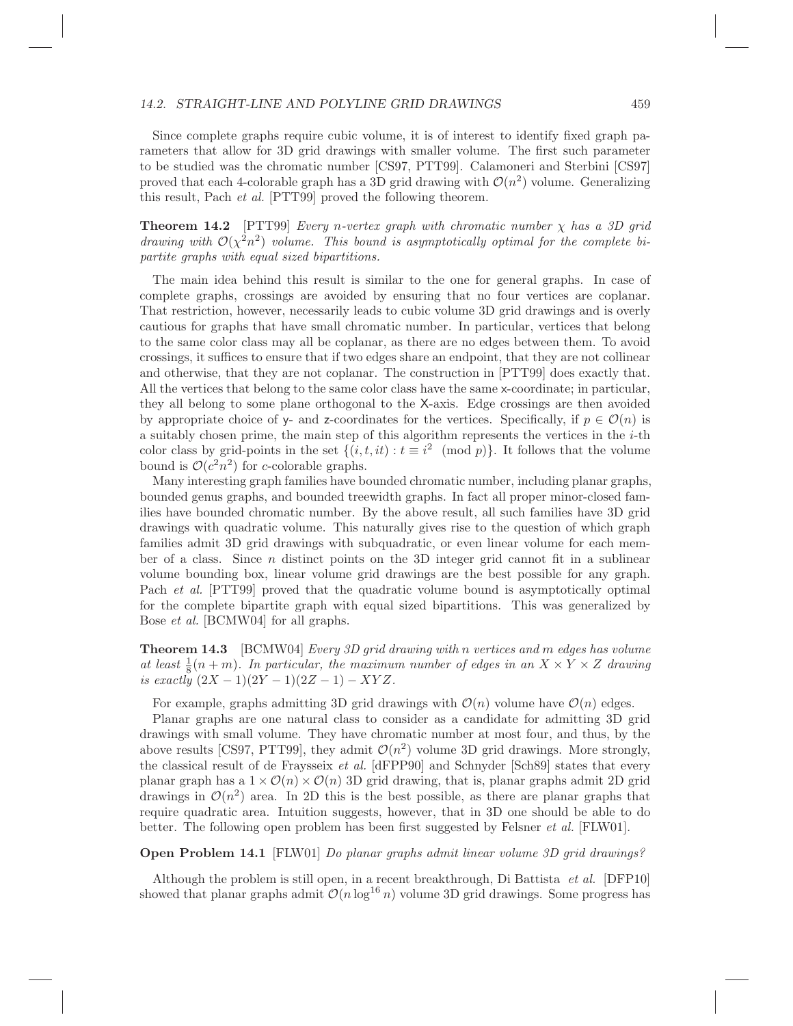#### 14.2. STRAIGHT-LINE AND POLYLINE GRID DRAWINGS 459

Since complete graphs require cubic volume, it is of interest to identify fixed graph parameters that allow for 3D grid drawings with smaller volume. The first such parameter to be studied was the chromatic number [CS97, PTT99]. Calamoneri and Sterbini [CS97] proved that each 4-colorable graph has a 3D grid drawing with  $\mathcal{O}(n^2)$  volume. Generalizing this result, Pach et al. [PTT99] proved the following theorem.

**Theorem 14.2** [PTT99] Every n-vertex graph with chromatic number  $\chi$  has a 3D grid drawing with  $\mathcal{O}(\chi^2 n^2)$  volume. This bound is asymptotically optimal for the complete bipartite graphs with equal sized bipartitions.

The main idea behind this result is similar to the one for general graphs. In case of complete graphs, crossings are avoided by ensuring that no four vertices are coplanar. That restriction, however, necessarily leads to cubic volume 3D grid drawings and is overly cautious for graphs that have small chromatic number. In particular, vertices that belong to the same color class may all be coplanar, as there are no edges between them. To avoid crossings, it suffices to ensure that if two edges share an endpoint, that they are not collinear and otherwise, that they are not coplanar. The construction in [PTT99] does exactly that. All the vertices that belong to the same color class have the same x-coordinate; in particular, they all belong to some plane orthogonal to the X-axis. Edge crossings are then avoided by appropriate choice of y- and z-coordinates for the vertices. Specifically, if  $p \in \mathcal{O}(n)$  is a suitably chosen prime, the main step of this algorithm represents the vertices in the  $i$ -th color class by grid-points in the set  $\{(i, t, it) : t \equiv i^2 \pmod{p}\}$ . It follows that the volume bound is  $\mathcal{O}(c^2n^2)$  for c-colorable graphs.

Many interesting graph families have bounded chromatic number, including planar graphs, bounded genus graphs, and bounded treewidth graphs. In fact all proper minor-closed families have bounded chromatic number. By the above result, all such families have 3D grid drawings with quadratic volume. This naturally gives rise to the question of which graph families admit 3D grid drawings with subquadratic, or even linear volume for each member of a class. Since  $n$  distinct points on the 3D integer grid cannot fit in a sublinear volume bounding box, linear volume grid drawings are the best possible for any graph. Pach et al. [PTT99] proved that the quadratic volume bound is asymptotically optimal for the complete bipartite graph with equal sized bipartitions. This was generalized by Bose et al. [BCMW04] for all graphs.

**Theorem 14.3** [BCMW04] Every 3D grid drawing with n vertices and m edges has volume at least  $\frac{1}{8}(n+m)$ . In particular, the maximum number of edges in an  $X \times Y \times Z$  drawing is exactly  $(2X-1)(2Y-1)(2Z-1) - XYZ$ .

For example, graphs admitting 3D grid drawings with  $\mathcal{O}(n)$  volume have  $\mathcal{O}(n)$  edges.

Planar graphs are one natural class to consider as a candidate for admitting 3D grid drawings with small volume. They have chromatic number at most four, and thus, by the above results [CS97, PTT99], they admit  $\mathcal{O}(n^2)$  volume 3D grid drawings. More strongly, the classical result of de Fraysseix *et al.* [dFPP90] and Schnyder [Sch89] states that every planar graph has a  $1 \times \mathcal{O}(n) \times \mathcal{O}(n)$  3D grid drawing, that is, planar graphs admit 2D grid drawings in  $\mathcal{O}(n^2)$  area. In 2D this is the best possible, as there are planar graphs that require quadratic area. Intuition suggests, however, that in 3D one should be able to do better. The following open problem has been first suggested by Felsner *et al.* [FLW01].

#### Open Problem 14.1 [FLW01] Do planar graphs admit linear volume 3D grid drawings?

Although the problem is still open, in a recent breakthrough, Di Battista *et al.* [DFP10] showed that planar graphs admit  $\mathcal{O}(n \log^{16} n)$  volume 3D grid drawings. Some progress has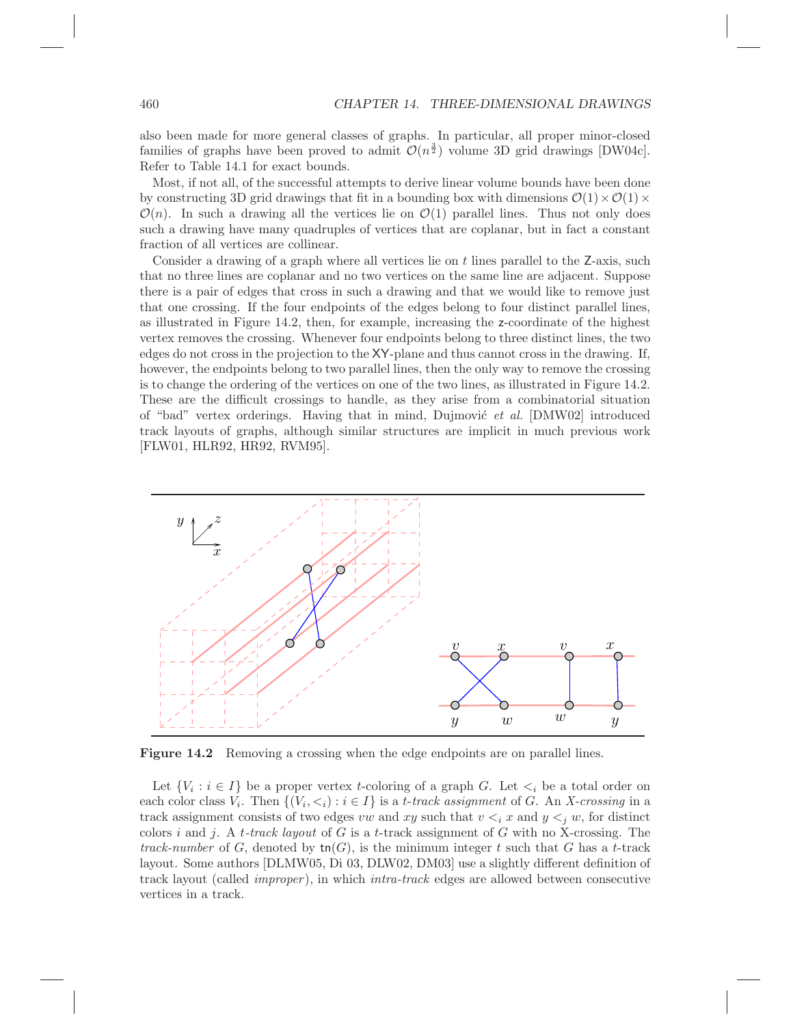also been made for more general classes of graphs. In particular, all proper minor-closed families of graphs have been proved to admit  $\mathcal{O}(n^{\frac{3}{2}})$  volume 3D grid drawings [DW04c]. Refer to Table 14.1 for exact bounds.

Most, if not all, of the successful attempts to derive linear volume bounds have been done by constructing 3D grid drawings that fit in a bounding box with dimensions  $\mathcal{O}(1)\times \mathcal{O}(1)\times$  $\mathcal{O}(n)$ . In such a drawing all the vertices lie on  $\mathcal{O}(1)$  parallel lines. Thus not only does such a drawing have many quadruples of vertices that are coplanar, but in fact a constant fraction of all vertices are collinear.

Consider a drawing of a graph where all vertices lie on  $t$  lines parallel to the  $Z$ -axis, such that no three lines are coplanar and no two vertices on the same line are adjacent. Suppose there is a pair of edges that cross in such a drawing and that we would like to remove just that one crossing. If the four endpoints of the edges belong to four distinct parallel lines, as illustrated in Figure 14.2, then, for example, increasing the z-coordinate of the highest vertex removes the crossing. Whenever four endpoints belong to three distinct lines, the two edges do not cross in the projection to the XY-plane and thus cannot cross in the drawing. If, however, the endpoints belong to two parallel lines, then the only way to remove the crossing is to change the ordering of the vertices on one of the two lines, as illustrated in Figure 14.2. These are the difficult crossings to handle, as they arise from a combinatorial situation of "bad" vertex orderings. Having that in mind, Dujmović *et al.* [DMW02] introduced track layouts of graphs, although similar structures are implicit in much previous work [FLW01, HLR92, HR92, RVM95].



Figure 14.2 Removing a crossing when the edge endpoints are on parallel lines.

Let  $\{V_i : i \in I\}$  be a proper vertex t-coloring of a graph G. Let  $\langle i \rangle$  be a total order on each color class  $V_i$ . Then  $\{(V_i, \leq_i) : i \in I\}$  is a *t-track assignment* of G. An *X-crossing* in a track assignment consists of two edges vw and xy such that  $v *i* x$  and  $y *j* w$ , for distinct colors i and j. A t-track layout of G is a t-track assignment of G with no X-crossing. The track-number of G, denoted by  $\text{tn}(G)$ , is the minimum integer t such that G has a t-track layout. Some authors [DLMW05, Di 03, DLW02, DM03] use a slightly different definition of track layout (called *improper*), in which *intra-track* edges are allowed between consecutive vertices in a track.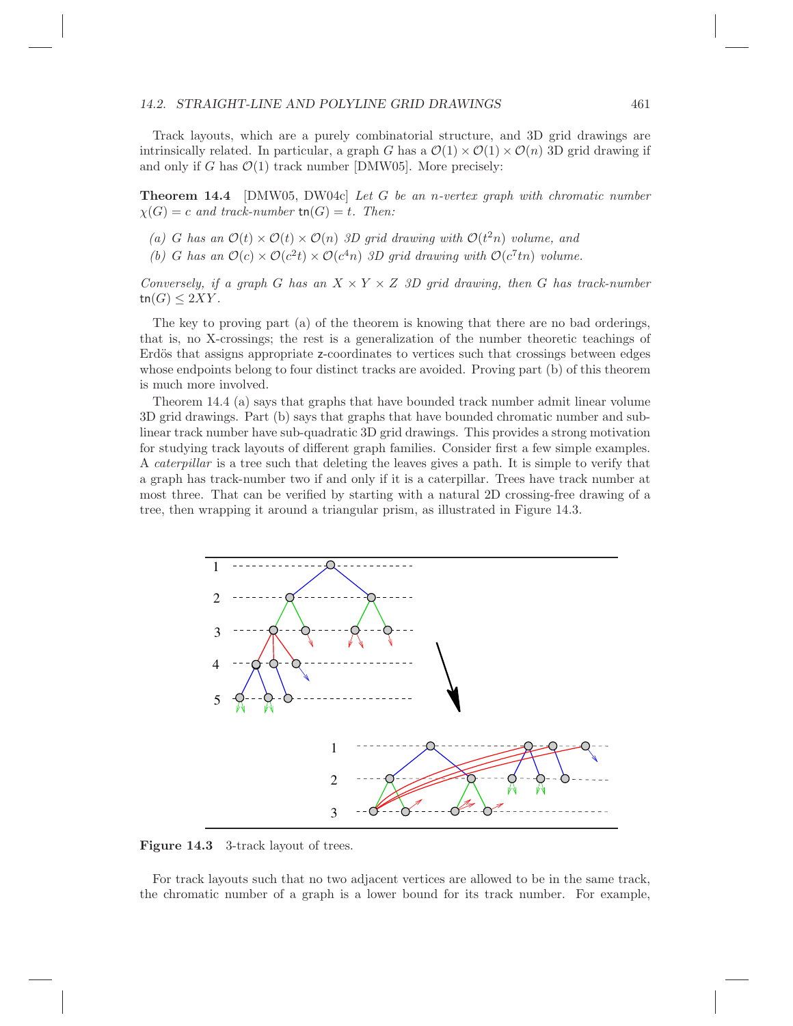Track layouts, which are a purely combinatorial structure, and 3D grid drawings are intrinsically related. In particular, a graph G has a  $\mathcal{O}(1) \times \mathcal{O}(1) \times \mathcal{O}(n)$  3D grid drawing if and only if G has  $\mathcal{O}(1)$  track number [DMW05]. More precisely:

**Theorem 14.4** [DMW05, DW04c] Let G be an n-vertex graph with chromatic number  $\chi(G) = c$  and track-number  $\text{tn}(G) = t$ . Then:

- (a) G has an  $\mathcal{O}(t) \times \mathcal{O}(t) \times \mathcal{O}(n)$  3D grid drawing with  $\mathcal{O}(t^2n)$  volume, and
- (b) G has an  $\mathcal{O}(c) \times \mathcal{O}(c^2 t) \times \mathcal{O}(c^4 n)$  3D grid drawing with  $\mathcal{O}(c^7 t n)$  volume.

Conversely, if a graph G has an  $X \times Y \times Z$  3D grid drawing, then G has track-number tn( $G$ )  $\leq$  2XY.

The key to proving part (a) of the theorem is knowing that there are no bad orderings, that is, no X-crossings; the rest is a generalization of the number theoretic teachings of Erdös that assigns appropriate z-coordinates to vertices such that crossings between edges whose endpoints belong to four distinct tracks are avoided. Proving part (b) of this theorem is much more involved.

Theorem 14.4 (a) says that graphs that have bounded track number admit linear volume 3D grid drawings. Part (b) says that graphs that have bounded chromatic number and sublinear track number have sub-quadratic 3D grid drawings. This provides a strong motivation for studying track layouts of different graph families. Consider first a few simple examples. A caterpillar is a tree such that deleting the leaves gives a path. It is simple to verify that a graph has track-number two if and only if it is a caterpillar. Trees have track number at most three. That can be verified by starting with a natural 2D crossing-free drawing of a tree, then wrapping it around a triangular prism, as illustrated in Figure 14.3.



Figure 14.3 3-track layout of trees.

For track layouts such that no two adjacent vertices are allowed to be in the same track, the chromatic number of a graph is a lower bound for its track number. For example,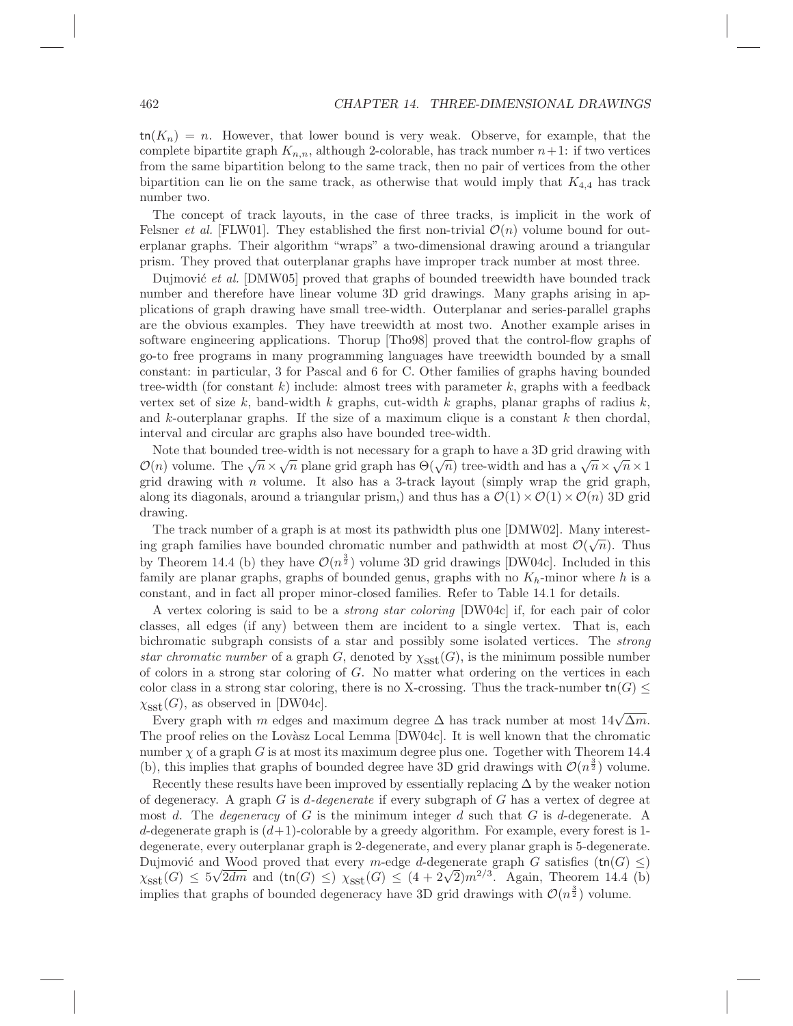$\text{tr}(K_n) = n$ . However, that lower bound is very weak. Observe, for example, that the complete bipartite graph  $K_{n,n}$ , although 2-colorable, has track number  $n+1$ : if two vertices from the same bipartition belong to the same track, then no pair of vertices from the other bipartition can lie on the same track, as otherwise that would imply that  $K_{4,4}$  has track number two.

The concept of track layouts, in the case of three tracks, is implicit in the work of Felsner *et al.* [FLW01]. They established the first non-trivial  $\mathcal{O}(n)$  volume bound for outerplanar graphs. Their algorithm "wraps" a two-dimensional drawing around a triangular prism. They proved that outerplanar graphs have improper track number at most three.

Dujmović et al. [DMW05] proved that graphs of bounded treewidth have bounded track number and therefore have linear volume 3D grid drawings. Many graphs arising in applications of graph drawing have small tree-width. Outerplanar and series-parallel graphs are the obvious examples. They have treewidth at most two. Another example arises in software engineering applications. Thorup [Tho98] proved that the control-flow graphs of go-to free programs in many programming languages have treewidth bounded by a small constant: in particular, 3 for Pascal and 6 for C. Other families of graphs having bounded tree-width (for constant k) include: almost trees with parameter  $k$ , graphs with a feedback vertex set of size k, band-width k graphs, cut-width k graphs, planar graphs of radius k, and k-outerplanar graphs. If the size of a maximum clique is a constant  $k$  then chordal, interval and circular arc graphs also have bounded tree-width.

Note that bounded tree-width is not necessary for a graph to have a 3D grid drawing with  $\mathcal{O}(n)$  volume. The  $\sqrt{n} \times \sqrt{n}$  plane grid graph has  $\Theta(\sqrt{n})$  tree-width and has a  $\sqrt{n} \times \sqrt{n} \times 1$ grid drawing with n volume. It also has a 3-track layout (simply wrap the grid graph, along its diagonals, around a triangular prism,) and thus has a  $\mathcal{O}(1) \times \mathcal{O}(1) \times \mathcal{O}(n)$  3D grid drawing.

The track number of a graph is at most its pathwidth plus one [DMW02]. Many interesting graph families have bounded chromatic number and pathwidth at most  $\mathcal{O}(\sqrt{n})$ . Thus by Theorem 14.4 (b) they have  $\mathcal{O}(n^{\frac{3}{2}})$  volume 3D grid drawings [DW04c]. Included in this family are planar graphs, graphs of bounded genus, graphs with no  $K<sub>h</sub>$ -minor where h is a constant, and in fact all proper minor-closed families. Refer to Table 14.1 for details.

A vertex coloring is said to be a strong star coloring [DW04c] if, for each pair of color classes, all edges (if any) between them are incident to a single vertex. That is, each bichromatic subgraph consists of a star and possibly some isolated vertices. The strong star chromatic number of a graph G, denoted by  $\chi_{\rm sst}(G)$ , is the minimum possible number of colors in a strong star coloring of  $G$ . No matter what ordering on the vertices in each color class in a strong star coloring, there is no X-crossing. Thus the track-number  $tr(G) \le$  $\chi_{\text{sst}}(G)$ , as observed in [DW04c].

Every graph with m edges and maximum degree  $\Delta$  has track number at most  $14\sqrt{\Delta m}$ . The proof relies on the Lovàsz Local Lemma  $[DW04c]$ . It is well known that the chromatic number  $\chi$  of a graph G is at most its maximum degree plus one. Together with Theorem 14.4 (b), this implies that graphs of bounded degree have 3D grid drawings with  $\mathcal{O}(n^{\frac{3}{2}})$  volume.

Recently these results have been improved by essentially replacing  $\Delta$  by the weaker notion of degeneracy. A graph  $G$  is *d-degenerate* if every subgraph of  $G$  has a vertex of degree at most d. The degeneracy of G is the minimum integer d such that G is d-degenerate. A d-degenerate graph is  $(d+1)$ -colorable by a greedy algorithm. For example, every forest is 1degenerate, every outerplanar graph is 2-degenerate, and every planar graph is 5-degenerate. Dujmović and Wood proved that every m-edge d-degenerate graph G satisfies  $(\text{tn}(G) \leq)$  $\chi_{\rm sst}(G) \leq 5\sqrt{2dm}$  and  $(\text{tr}(G) \leq) \chi_{\rm sst}(G) \leq (4 + 2\sqrt{2})m^{2/3}$ . Again, Theorem 14.4 (b) implies that graphs of bounded degeneracy have 3D grid drawings with  $\mathcal{O}(n^{\frac{3}{2}})$  volume.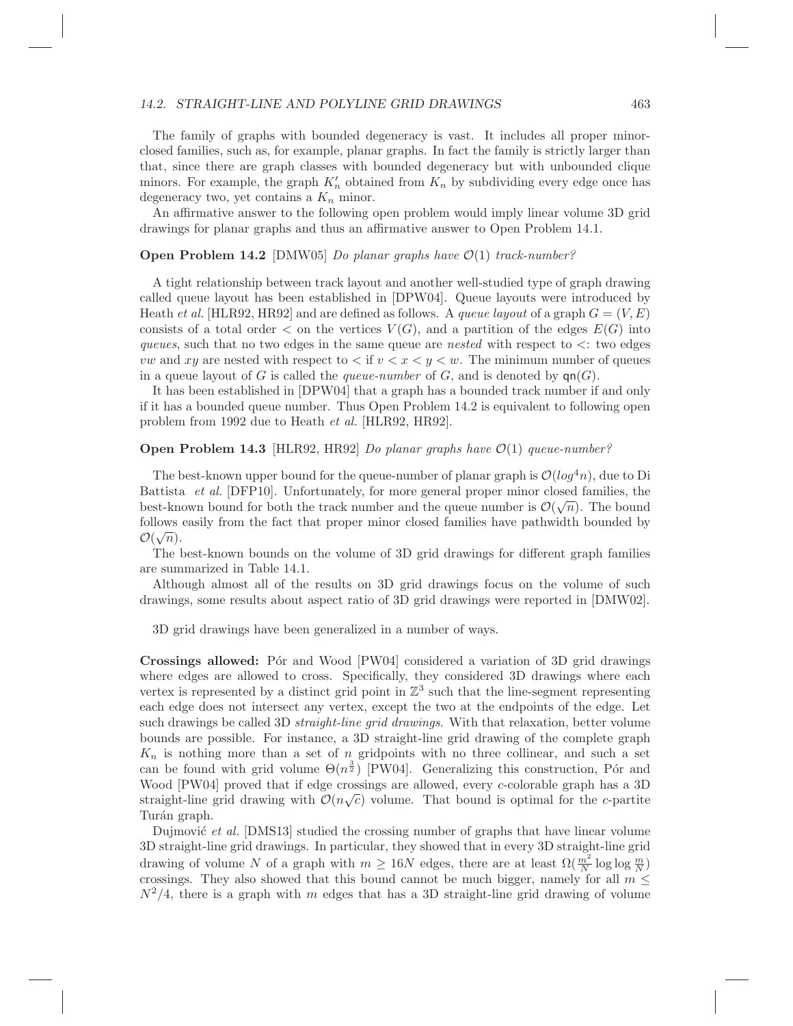#### 14.2. STRAIGHT-LINE AND POLYLINE GRID DRAWINGS 463

The family of graphs with bounded degeneracy is vast. It includes all proper minorclosed families, such as, for example, planar graphs. In fact the family is strictly larger than that, since there are graph classes with bounded degeneracy but with unbounded clique minors. For example, the graph  $K'_n$  obtained from  $K_n$  by subdividing every edge once has degeneracy two, yet contains a  $K_n$  minor.

An affirmative answer to the following open problem would imply linear volume 3D grid drawings for planar graphs and thus an affirmative answer to Open Problem 14.1.

#### **Open Problem 14.2** [DMW05] *Do planar graphs have*  $\mathcal{O}(1)$  track-number?

A tight relationship between track layout and another well-studied type of graph drawing called queue layout has been established in [DPW04]. Queue layouts were introduced by Heath *et al.* [HLR92, HR92] and are defined as follows. A *queue layout* of a graph  $G = (V, E)$ consists of a total order  $\lt$  on the vertices  $V(G)$ , and a partition of the edges  $E(G)$  into queues, such that no two edges in the same queue are nested with respect to  $\lt$ : two edges *vw* and xy are nested with respect to  $\lt$  if  $v \lt x \lt y \lt w$ . The minimum number of queues in a queue layout of G is called the *queue-number* of G, and is denoted by  $\mathsf{qn}(G)$ .

It has been established in [DPW04] that a graph has a bounded track number if and only if it has a bounded queue number. Thus Open Problem 14.2 is equivalent to following open problem from 1992 due to Heath *et al.* [HLR92, HR92].

#### **Open Problem 14.3** [HLR92, HR92] *Do planar graphs have*  $\mathcal{O}(1)$  queue-number?

The best-known upper bound for the queue-number of planar graph is  $\mathcal{O}(log^4 n)$ , due to Di Battista et al. [DFP10]. Unfortunately, for more general proper minor closed families, the best-known bound for both the track number and the queue number is  $\mathcal{O}(\sqrt{n})$ . The bound follows easily from the fact that proper minor closed families have pathwidth bounded by  $\mathcal{O}(\sqrt{n}).$ 

The best-known bounds on the volume of 3D grid drawings for different graph families are summarized in Table 14.1.

Although almost all of the results on 3D grid drawings focus on the volume of such drawings, some results about aspect ratio of 3D grid drawings were reported in [DMW02].

3D grid drawings have been generalized in a number of ways.

Crossings allowed: Pór and Wood [PW04] considered a variation of 3D grid drawings where edges are allowed to cross. Specifically, they considered 3D drawings where each vertex is represented by a distinct grid point in  $\mathbb{Z}^3$  such that the line-segment representing each edge does not intersect any vertex, except the two at the endpoints of the edge. Let such drawings be called 3D *straight-line grid drawings*. With that relaxation, better volume bounds are possible. For instance, a 3D straight-line grid drawing of the complete graph  $K_n$  is nothing more than a set of n gridpoints with no three collinear, and such a set can be found with grid volume  $\Theta(n^{\frac{3}{2}})$  [PW04]. Generalizing this construction, Pór and Wood [PW04] proved that if edge crossings are allowed, every c-colorable graph has a 3D straight-line grid drawing with  $\mathcal{O}(n\sqrt{c})$  volume. That bound is optimal for the c-partite Turán graph.

Dujmović *et al.* [DMS13] studied the crossing number of graphs that have linear volume 3D straight-line grid drawings. In particular, they showed that in every 3D straight-line grid drawing of volume N of a graph with  $m \ge 16N$  edges, there are at least  $\Omega(\frac{m^2}{N}\log\log\frac{m}{N})$ crossings. They also showed that this bound cannot be much bigger, namely for all  $m \leq$  $N^2/4$ , there is a graph with m edges that has a 3D straight-line grid drawing of volume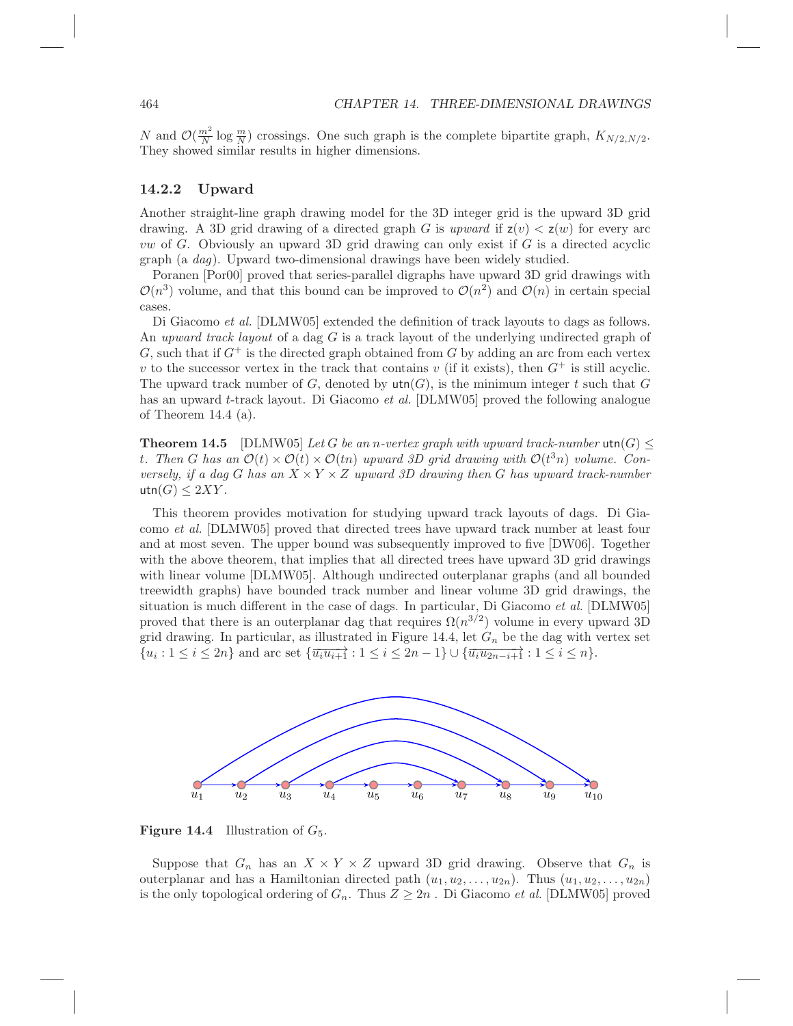N and  $\mathcal{O}(\frac{m^2}{N}\log\frac{m}{N})$  crossings. One such graph is the complete bipartite graph,  $K_{N/2,N/2}$ . They showed similar results in higher dimensions.

#### 14.2.2 Upward

Another straight-line graph drawing model for the 3D integer grid is the upward 3D grid drawing. A 3D grid drawing of a directed graph G is upward if  $z(v) < z(w)$  for every arc *vw* of G. Obviously an upward 3D grid drawing can only exist if G is a directed acyclic graph (a dag). Upward two-dimensional drawings have been widely studied.

Poranen [Por00] proved that series-parallel digraphs have upward 3D grid drawings with  $\mathcal{O}(n^3)$  volume, and that this bound can be improved to  $\mathcal{O}(n^2)$  and  $\mathcal{O}(n)$  in certain special cases.

Di Giacomo *et al.* [DLMW05] extended the definition of track layouts to dags as follows. An upward track layout of a dag G is a track layout of the underlying undirected graph of G, such that if  $G^+$  is the directed graph obtained from G by adding an arc from each vertex v to the successor vertex in the track that contains v (if it exists), then  $G^+$  is still acyclic. The upward track number of G, denoted by  $\text{uth}(G)$ , is the minimum integer t such that G has an upward t-track layout. Di Giacomo et al. [DLMW05] proved the following analogue of Theorem 14.4 (a).

**Theorem 14.5** [DLMW05] Let G be an n-vertex graph with upward track-number  $\text{uth}(G)$  < t. Then G has an  $\mathcal{O}(t) \times \mathcal{O}(t) \times \mathcal{O}(tn)$  upward 3D grid drawing with  $\mathcal{O}(t^3n)$  volume. Conversely, if a dag G has an  $X \times Y \times Z$  upward 3D drawing then G has upward track-number  $utn(G) \leq 2XY$ .

This theorem provides motivation for studying upward track layouts of dags. Di Giacomo et al. [DLMW05] proved that directed trees have upward track number at least four and at most seven. The upper bound was subsequently improved to five [DW06]. Together with the above theorem, that implies that all directed trees have upward 3D grid drawings with linear volume [DLMW05]. Although undirected outerplanar graphs (and all bounded treewidth graphs) have bounded track number and linear volume 3D grid drawings, the situation is much different in the case of dags. In particular, Di Giacomo et al. [DLMW05] proved that there is an outerplanar dag that requires  $\Omega(n^{3/2})$  volume in every upward 3D grid drawing. In particular, as illustrated in Figure 14.4, let  $G_n$  be the dag with vertex set  $\{u_i: 1 \le i \le 2n\}$  and arc set  $\{\overline{u_i u_{i+1}}: 1 \le i \le 2n-1\} \cup \{\overline{u_i u_{2n-i+1}}: 1 \le i \le n\}.$ 



**Figure 14.4** Illustration of  $G_5$ .

Suppose that  $G_n$  has an  $X \times Y \times Z$  upward 3D grid drawing. Observe that  $G_n$  is outerplanar and has a Hamiltonian directed path  $(u_1, u_2, \ldots, u_{2n})$ . Thus  $(u_1, u_2, \ldots, u_{2n})$ is the only topological ordering of  $G_n$ . Thus  $Z \geq 2n$ . Di Giacomo *et al.* [DLMW05] proved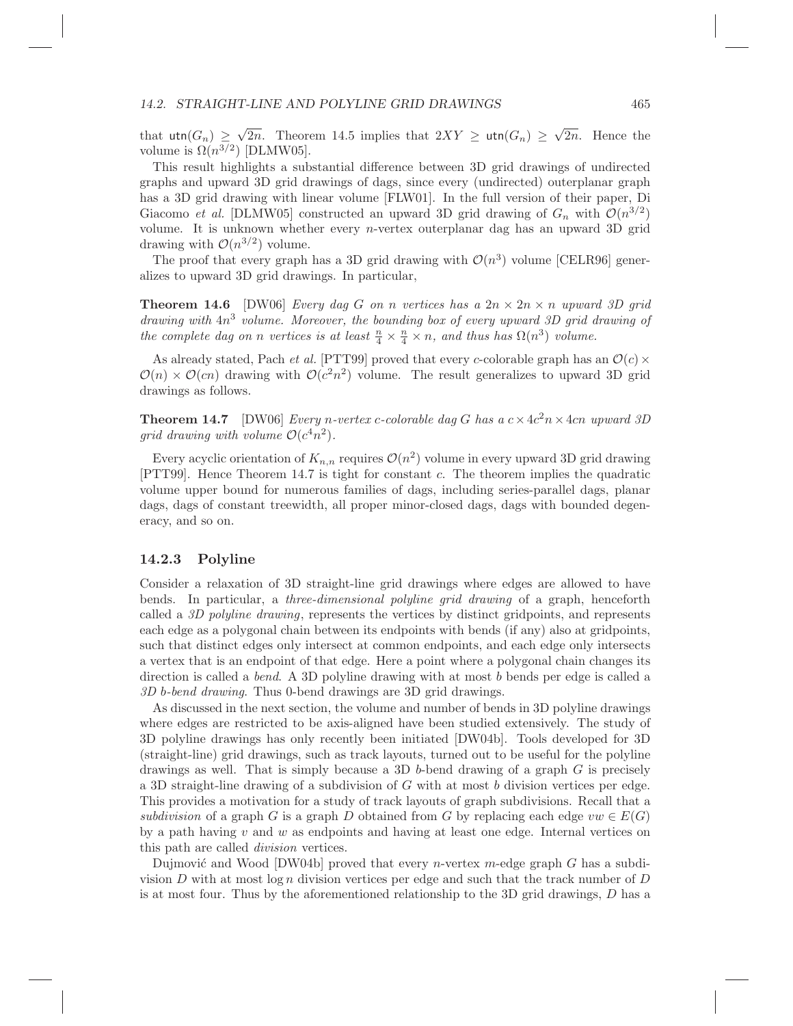that  $\mathsf{utn}(G_n) \geq \sqrt{2n}$ . Theorem 14.5 implies that  $2XY \geq \mathsf{utn}(G_n) \geq \sqrt{2n}$ . Hence the volume is  $\Omega(n^{3/2})$  [DLMW05].

This result highlights a substantial difference between 3D grid drawings of undirected graphs and upward 3D grid drawings of dags, since every (undirected) outerplanar graph has a 3D grid drawing with linear volume [FLW01]. In the full version of their paper, Di Giacomo et al. [DLMW05] constructed an upward 3D grid drawing of  $G_n$  with  $\mathcal{O}(n^{3/2})$ volume. It is unknown whether every n-vertex outerplanar dag has an upward 3D grid drawing with  $\mathcal{O}(n^{3/2})$  volume.

The proof that every graph has a 3D grid drawing with  $\mathcal{O}(n^3)$  volume [CELR96] generalizes to upward 3D grid drawings. In particular,

**Theorem 14.6** [DW06] Every dag G on n vertices has a  $2n \times 2n \times n$  upward 3D grid drawing with  $4n^3$  volume. Moreover, the bounding box of every upward 3D grid drawing of the complete dag on n vertices is at least  $\frac{n}{4} \times \frac{n}{4} \times n$ , and thus has  $\Omega(n^3)$  volume.

As already stated, Pach *et al.* [PTT99] proved that every c-colorable graph has an  $\mathcal{O}(c) \times$  $\mathcal{O}(n) \times \mathcal{O}(cn)$  drawing with  $\mathcal{O}(c^2n^2)$  volume. The result generalizes to upward 3D grid drawings as follows.

**Theorem 14.7** [DW06] Every n-vertex c-colorable dag G has a  $c \times 4c^2 n \times 4cn$  upward 3D grid drawing with volume  $\mathcal{O}(c^4n^2)$ .

Every acyclic orientation of  $K_{n,n}$  requires  $\mathcal{O}(n^2)$  volume in every upward 3D grid drawing [PTT99]. Hence Theorem 14.7 is tight for constant c. The theorem implies the quadratic volume upper bound for numerous families of dags, including series-parallel dags, planar dags, dags of constant treewidth, all proper minor-closed dags, dags with bounded degeneracy, and so on.

#### 14.2.3 Polyline

Consider a relaxation of 3D straight-line grid drawings where edges are allowed to have bends. In particular, a three-dimensional polyline grid drawing of a graph, henceforth called a 3D polyline drawing, represents the vertices by distinct gridpoints, and represents each edge as a polygonal chain between its endpoints with bends (if any) also at gridpoints, such that distinct edges only intersect at common endpoints, and each edge only intersects a vertex that is an endpoint of that edge. Here a point where a polygonal chain changes its direction is called a *bend*. A 3D polyline drawing with at most b bends per edge is called a 3D b-bend drawing. Thus 0-bend drawings are 3D grid drawings.

As discussed in the next section, the volume and number of bends in 3D polyline drawings where edges are restricted to be axis-aligned have been studied extensively. The study of 3D polyline drawings has only recently been initiated [DW04b]. Tools developed for 3D (straight-line) grid drawings, such as track layouts, turned out to be useful for the polyline drawings as well. That is simply because a 3D b-bend drawing of a graph  $G$  is precisely a 3D straight-line drawing of a subdivision of G with at most b division vertices per edge. This provides a motivation for a study of track layouts of graph subdivisions. Recall that a subdivision of a graph G is a graph D obtained from G by replacing each edge  $vw \in E(G)$ by a path having  $v$  and  $w$  as endpoints and having at least one edge. Internal vertices on this path are called division vertices.

Dujmović and Wood [DW04b] proved that every *n*-vertex *m*-edge graph  $G$  has a subdivision D with at most log n division vertices per edge and such that the track number of D is at most four. Thus by the aforementioned relationship to the 3D grid drawings, D has a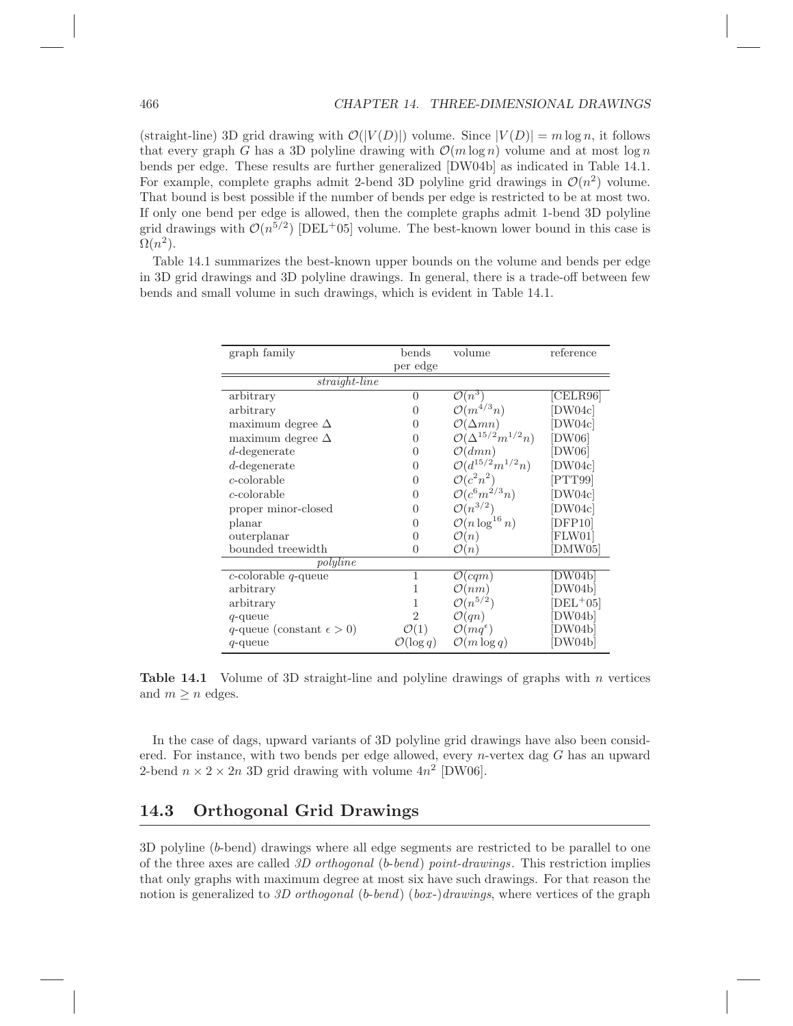(straight-line) 3D grid drawing with  $\mathcal{O}(|V(D)|)$  volume. Since  $|V(D)| = m \log n$ , it follows that every graph G has a 3D polyline drawing with  $\mathcal{O}(m \log n)$  volume and at most  $\log n$ bends per edge. These results are further generalized [DW04b] as indicated in Table 14.1. For example, complete graphs admit 2-bend 3D polyline grid drawings in  $\mathcal{O}(n^2)$  volume. That bound is best possible if the number of bends per edge is restricted to be at most two. If only one bend per edge is allowed, then the complete graphs admit 1-bend 3D polyline grid drawings with  $\mathcal{O}(n^{5/2})$  [DEL<sup>+</sup>05] volume. The best-known lower bound in this case is  $\Omega(n^2)$ .

Table 14.1 summarizes the best-known upper bounds on the volume and bends per edge in 3D grid drawings and 3D polyline drawings. In general, there is a trade-off between few bends and small volume in such drawings, which is evident in Table 14.1.

| graph family                       | bends                 | volume                               | reference                    |
|------------------------------------|-----------------------|--------------------------------------|------------------------------|
|                                    | per edge              |                                      |                              |
| $straight-line$                    |                       |                                      |                              |
| arbitrary                          | $\Omega$              | $\mathcal{O}(n^3)$                   | [CELR96]                     |
| arbitrary                          | 0                     | $\mathcal{O}(m^{4/3}n)$              | [DW04c]                      |
| maximum degree $\Delta$            | 0                     | $\mathcal{O}(\Delta mn)$             | $\left[\text{DW04c}\right]$  |
| maximum degree $\Delta$            | $\Omega$              | $\mathcal{O}(\Delta^{15/2}m^{1/2}n)$ | $\left[ \text{DW06} \right]$ |
| $d$ -degenerate                    | 0                     | $\mathcal{O}(dmn)$                   | $\left[ \text{DW06} \right]$ |
| $d$ -degenerate                    | $\Omega$              | $\mathcal{O}(d^{15/2}m^{1/2}n)$      | $\left[\text{DW04c}\right]$  |
| $c$ -colorable                     | $\Omega$              | $\mathcal{O}(c^2n^2)$                | [PTT99]                      |
| $c$ -colorable                     | $\Omega$              | $\mathcal{O}(c^6m^{2/3}n)$           | [DW04c]                      |
| proper minor-closed                | $\Omega$              | $\mathcal{O}(n^{3/2})$               | $\left[\text{DW04c}\right]$  |
| planar                             | $\Omega$              | $\mathcal{O}(n \log^{16} n)$         | [DFP10]                      |
| outerplanar                        | 0                     | $\mathcal{O}(n)$                     | FLW01                        |
| bounded treewidth                  | 0                     | $\mathcal{O}(n)$                     | [DMW05]                      |
| polyline                           |                       |                                      |                              |
| $c$ -colorable $q$ -queue          | 1                     | $\overline{\mathcal{O}}(cqm)$        | DW04b]                       |
| arbitrary                          | 1                     | $\mathcal{O}(nm)$                    | DW04b                        |
| arbitrary                          | 1                     | $\mathcal{O}(n^{5/2})$               | $DEL + 05$                   |
| $q$ -queue                         | $\mathfrak{D}$        | $\mathcal{O}(qn)$                    | DW04b                        |
| q-queue (constant $\epsilon > 0$ ) | $\mathcal{O}(1)$      | $\mathcal{O}(mq^{\epsilon})$         | DW04b                        |
| $q$ -queue                         | $\mathcal{O}(\log q)$ | $\mathcal{O}(m \log q)$              | [DW04b]                      |

**Table 14.1** Volume of 3D straight-line and polyline drawings of graphs with  $n$  vertices and  $m \geq n$  edges.

In the case of dags, upward variants of 3D polyline grid drawings have also been considered. For instance, with two bends per edge allowed, every n-vertex dag G has an upward 2-bend  $n \times 2 \times 2n$  3D grid drawing with volume  $4n^2$  [DW06].

#### 14.3 Orthogonal Grid Drawings

3D polyline (b-bend) drawings where all edge segments are restricted to be parallel to one of the three axes are called 3D orthogonal (b-bend) point-drawings. This restriction implies that only graphs with maximum degree at most six have such drawings. For that reason the notion is generalized to 3D orthogonal (b-bend) (box-)drawings, where vertices of the graph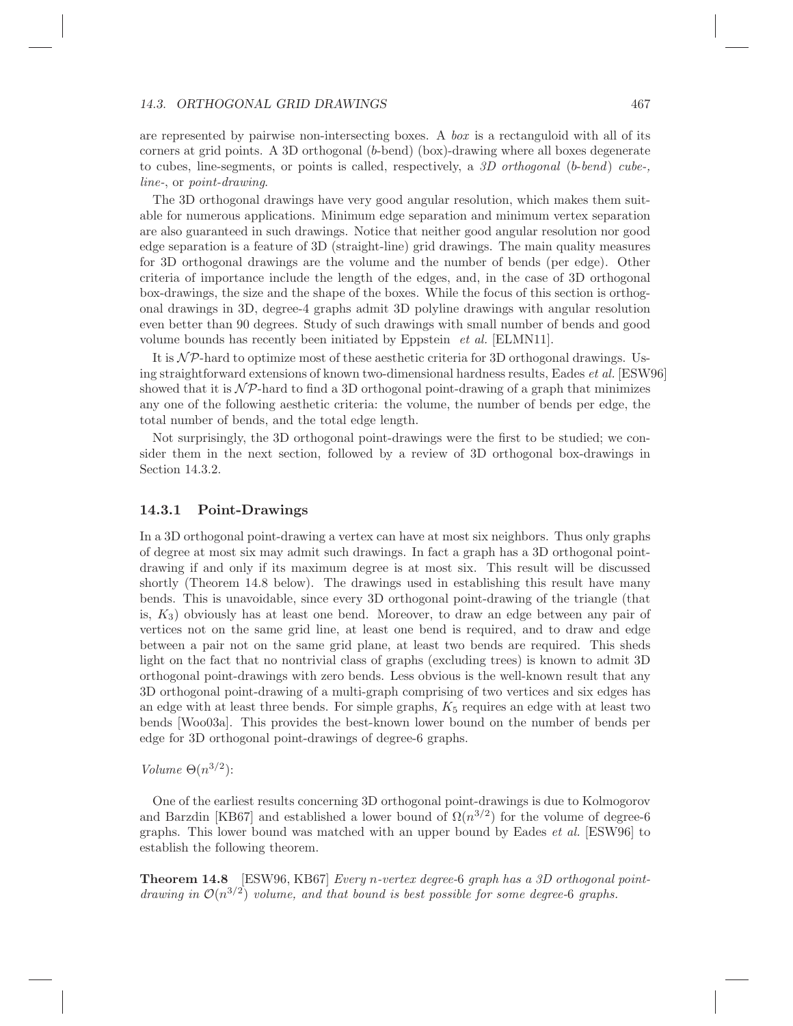#### 14.3. ORTHOGONAL GRID DRAWINGS 467

are represented by pairwise non-intersecting boxes. A  $box$  is a rectanguloid with all of its corners at grid points. A 3D orthogonal (b-bend) (box)-drawing where all boxes degenerate to cubes, line-segments, or points is called, respectively, a 3D orthogonal (b-bend) cube-, line-, or point-drawing.

The 3D orthogonal drawings have very good angular resolution, which makes them suitable for numerous applications. Minimum edge separation and minimum vertex separation are also guaranteed in such drawings. Notice that neither good angular resolution nor good edge separation is a feature of 3D (straight-line) grid drawings. The main quality measures for 3D orthogonal drawings are the volume and the number of bends (per edge). Other criteria of importance include the length of the edges, and, in the case of 3D orthogonal box-drawings, the size and the shape of the boxes. While the focus of this section is orthogonal drawings in 3D, degree-4 graphs admit 3D polyline drawings with angular resolution even better than 90 degrees. Study of such drawings with small number of bends and good volume bounds has recently been initiated by Eppstein *et al.* [ELMN11].

It is  $N \mathcal{P}$ -hard to optimize most of these aesthetic criteria for 3D orthogonal drawings. Using straightforward extensions of known two-dimensional hardness results, Eades et al. [ESW96] showed that it is  $\mathcal{NP}$ -hard to find a 3D orthogonal point-drawing of a graph that minimizes any one of the following aesthetic criteria: the volume, the number of bends per edge, the total number of bends, and the total edge length.

Not surprisingly, the 3D orthogonal point-drawings were the first to be studied; we consider them in the next section, followed by a review of 3D orthogonal box-drawings in Section 14.3.2.

#### 14.3.1 Point-Drawings

In a 3D orthogonal point-drawing a vertex can have at most six neighbors. Thus only graphs of degree at most six may admit such drawings. In fact a graph has a 3D orthogonal pointdrawing if and only if its maximum degree is at most six. This result will be discussed shortly (Theorem 14.8 below). The drawings used in establishing this result have many bends. This is unavoidable, since every 3D orthogonal point-drawing of the triangle (that is,  $K_3$ ) obviously has at least one bend. Moreover, to draw an edge between any pair of vertices not on the same grid line, at least one bend is required, and to draw and edge between a pair not on the same grid plane, at least two bends are required. This sheds light on the fact that no nontrivial class of graphs (excluding trees) is known to admit 3D orthogonal point-drawings with zero bends. Less obvious is the well-known result that any 3D orthogonal point-drawing of a multi-graph comprising of two vertices and six edges has an edge with at least three bends. For simple graphs,  $K_5$  requires an edge with at least two bends [Woo03a]. This provides the best-known lower bound on the number of bends per edge for 3D orthogonal point-drawings of degree-6 graphs.

#### Volume  $\Theta(n^{3/2})$ :

One of the earliest results concerning 3D orthogonal point-drawings is due to Kolmogorov and Barzdin [KB67] and established a lower bound of  $\Omega(n^{3/2})$  for the volume of degree-6 graphs. This lower bound was matched with an upper bound by Eades et al. [ESW96] to establish the following theorem.

Theorem 14.8 [ESW96, KB67] Every n-vertex degree-6 graph has a 3D orthogonal pointdrawing in  $\mathcal{O}(n^{3/2})$  volume, and that bound is best possible for some degree-6 graphs.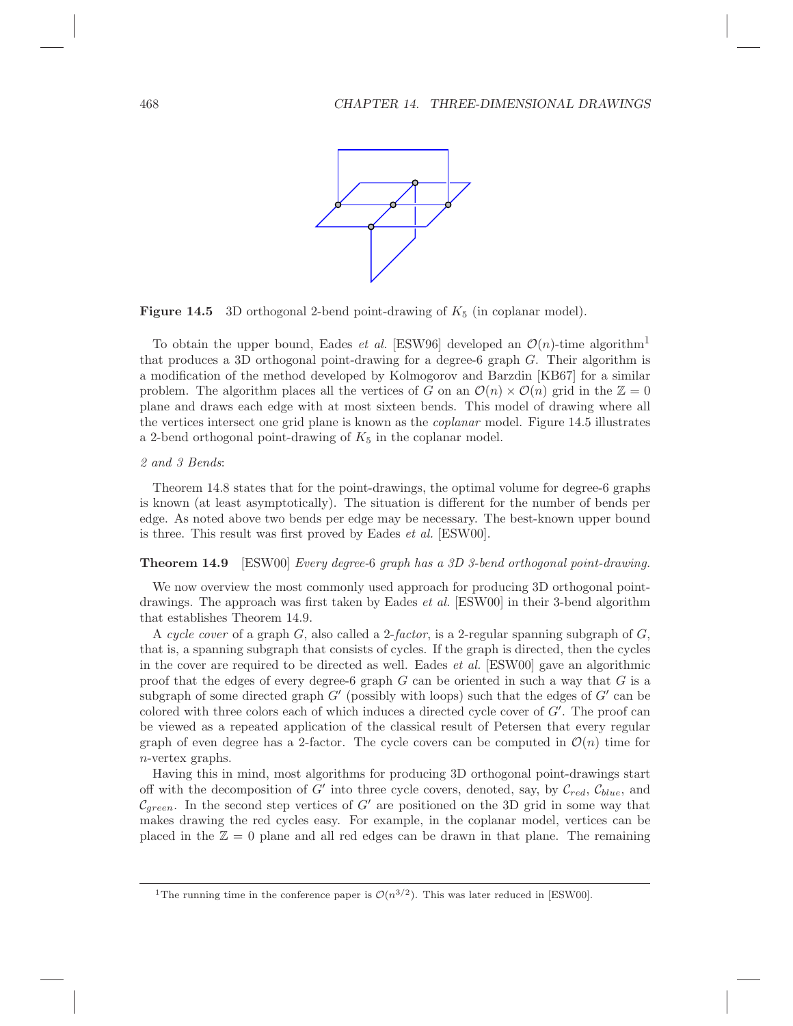

**Figure 14.5** 3D orthogonal 2-bend point-drawing of  $K_5$  (in coplanar model).

To obtain the upper bound, Eades *et al.* [ESW96] developed an  $\mathcal{O}(n)$ -time algorithm<sup>1</sup> that produces a 3D orthogonal point-drawing for a degree-6 graph G. Their algorithm is a modification of the method developed by Kolmogorov and Barzdin [KB67] for a similar problem. The algorithm places all the vertices of G on an  $\mathcal{O}(n) \times \mathcal{O}(n)$  grid in the  $\mathbb{Z} = 0$ plane and draws each edge with at most sixteen bends. This model of drawing where all the vertices intersect one grid plane is known as the *coplanar* model. Figure 14.5 illustrates a 2-bend orthogonal point-drawing of  $K_5$  in the coplanar model.

#### 2 and 3 Bends:

Theorem 14.8 states that for the point-drawings, the optimal volume for degree-6 graphs is known (at least asymptotically). The situation is different for the number of bends per edge. As noted above two bends per edge may be necessary. The best-known upper bound is three. This result was first proved by Eades et al. [ESW00].

#### Theorem 14.9 [ESW00] Every degree-6 graph has a 3D 3-bend orthogonal point-drawing.

We now overview the most commonly used approach for producing 3D orthogonal pointdrawings. The approach was first taken by Eades et al. [ESW00] in their 3-bend algorithm that establishes Theorem 14.9.

A cycle cover of a graph  $G$ , also called a 2-factor, is a 2-regular spanning subgraph of  $G$ , that is, a spanning subgraph that consists of cycles. If the graph is directed, then the cycles in the cover are required to be directed as well. Eades  $et al.$  [ESW00] gave an algorithmic proof that the edges of every degree-6 graph  $G$  can be oriented in such a way that  $G$  is a subgraph of some directed graph  $G'$  (possibly with loops) such that the edges of  $G'$  can be colored with three colors each of which induces a directed cycle cover of  $G'$ . The proof can be viewed as a repeated application of the classical result of Petersen that every regular graph of even degree has a 2-factor. The cycle covers can be computed in  $\mathcal{O}(n)$  time for n-vertex graphs.

Having this in mind, most algorithms for producing 3D orthogonal point-drawings start off with the decomposition of  $G'$  into three cycle covers, denoted, say, by  $\mathcal{C}_{red}$ ,  $\mathcal{C}_{blue}$ , and  $C_{green}$ . In the second step vertices of G' are positioned on the 3D grid in some way that makes drawing the red cycles easy. For example, in the coplanar model, vertices can be placed in the  $\mathbb{Z} = 0$  plane and all red edges can be drawn in that plane. The remaining

<sup>&</sup>lt;sup>1</sup>The running time in the conference paper is  $\mathcal{O}(n^{3/2})$ . This was later reduced in [ESW00].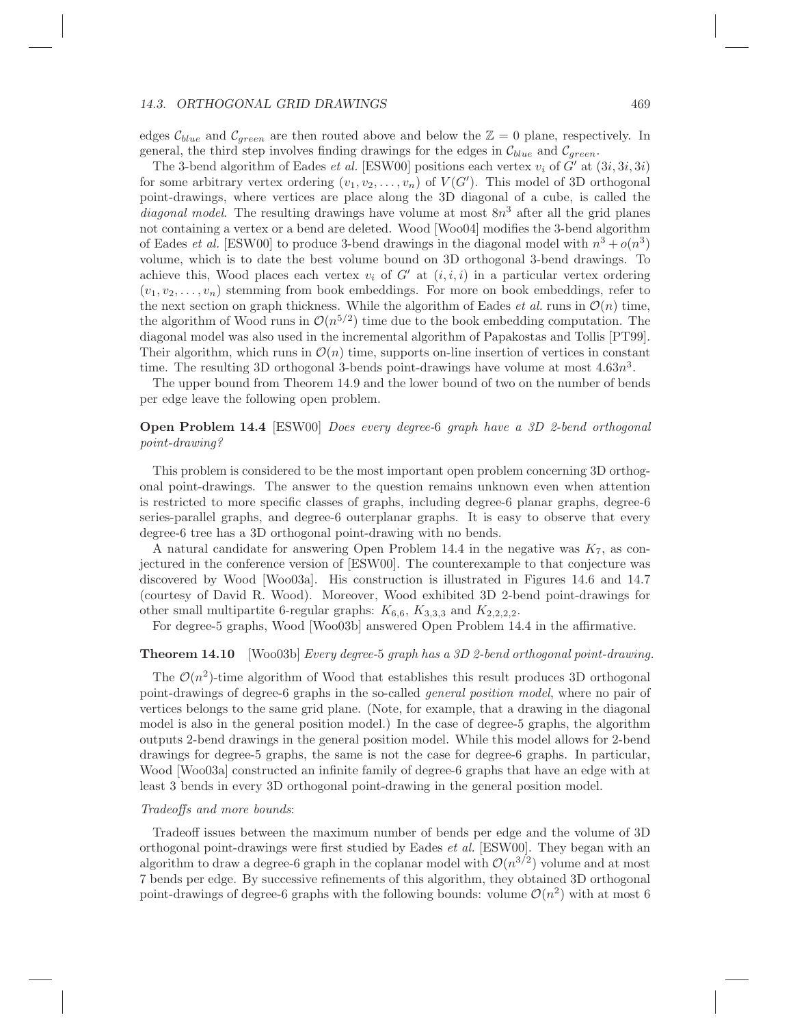#### 14.3. ORTHOGONAL GRID DRAWINGS 469

edges  $\mathcal{C}_{blue}$  and  $\mathcal{C}_{green}$  are then routed above and below the  $\mathbb{Z}=0$  plane, respectively. In general, the third step involves finding drawings for the edges in  $\mathcal{C}_{blue}$  and  $\mathcal{C}_{green}$ .

The 3-bend algorithm of Eades *et al.* [ESW00] positions each vertex  $v_i$  of G' at  $(3i, 3i, 3i)$ for some arbitrary vertex ordering  $(v_1, v_2, \ldots, v_n)$  of  $V(G')$ . This model of 3D orthogonal point-drawings, where vertices are place along the 3D diagonal of a cube, is called the *diagonal model*. The resulting drawings have volume at most  $8n<sup>3</sup>$  after all the grid planes not containing a vertex or a bend are deleted. Wood [Woo04] modifies the 3-bend algorithm of Eades *et al.* [ESW00] to produce 3-bend drawings in the diagonal model with  $n^3 + o(n^3)$ volume, which is to date the best volume bound on 3D orthogonal 3-bend drawings. To achieve this, Wood places each vertex  $v_i$  of G' at  $(i, i, i)$  in a particular vertex ordering  $(v_1, v_2, \ldots, v_n)$  stemming from book embeddings. For more on book embeddings, refer to the next section on graph thickness. While the algorithm of Eades *et al.* runs in  $\mathcal{O}(n)$  time, the algorithm of Wood runs in  $\mathcal{O}(n^{5/2})$  time due to the book embedding computation. The diagonal model was also used in the incremental algorithm of Papakostas and Tollis [PT99]. Their algorithm, which runs in  $\mathcal{O}(n)$  time, supports on-line insertion of vertices in constant time. The resulting 3D orthogonal 3-bends point-drawings have volume at most  $4.63n^3$ .

The upper bound from Theorem 14.9 and the lower bound of two on the number of bends per edge leave the following open problem.

#### Open Problem 14.4 [ESW00] Does every degree-6 graph have a 3D 2-bend orthogonal point-drawing?

This problem is considered to be the most important open problem concerning 3D orthogonal point-drawings. The answer to the question remains unknown even when attention is restricted to more specific classes of graphs, including degree-6 planar graphs, degree-6 series-parallel graphs, and degree-6 outerplanar graphs. It is easy to observe that every degree-6 tree has a 3D orthogonal point-drawing with no bends.

A natural candidate for answering Open Problem 14.4 in the negative was  $K_7$ , as conjectured in the conference version of [ESW00]. The counterexample to that conjecture was discovered by Wood [Woo03a]. His construction is illustrated in Figures 14.6 and 14.7 (courtesy of David R. Wood). Moreover, Wood exhibited 3D 2-bend point-drawings for other small multipartite 6-regular graphs:  $K_{6,6}$ ,  $K_{3,3,3}$  and  $K_{2,2,2,2}$ .

For degree-5 graphs, Wood [Woo03b] answered Open Problem 14.4 in the affirmative.

#### Theorem 14.10 [Woo03b] Every degree-5 graph has a 3D 2-bend orthogonal point-drawing.

The  $\mathcal{O}(n^2)$ -time algorithm of Wood that establishes this result produces 3D orthogonal point-drawings of degree-6 graphs in the so-called general position model, where no pair of vertices belongs to the same grid plane. (Note, for example, that a drawing in the diagonal model is also in the general position model.) In the case of degree-5 graphs, the algorithm outputs 2-bend drawings in the general position model. While this model allows for 2-bend drawings for degree-5 graphs, the same is not the case for degree-6 graphs. In particular, Wood [Woo03a] constructed an infinite family of degree-6 graphs that have an edge with at least 3 bends in every 3D orthogonal point-drawing in the general position model.

#### Tradeoffs and more bounds:

Tradeoff issues between the maximum number of bends per edge and the volume of 3D orthogonal point-drawings were first studied by Eades et al. [ESW00]. They began with an algorithm to draw a degree-6 graph in the coplanar model with  $\mathcal{O}(n^{3/2})$  volume and at most 7 bends per edge. By successive refinements of this algorithm, they obtained 3D orthogonal point-drawings of degree-6 graphs with the following bounds: volume  $\mathcal{O}(n^2)$  with at most 6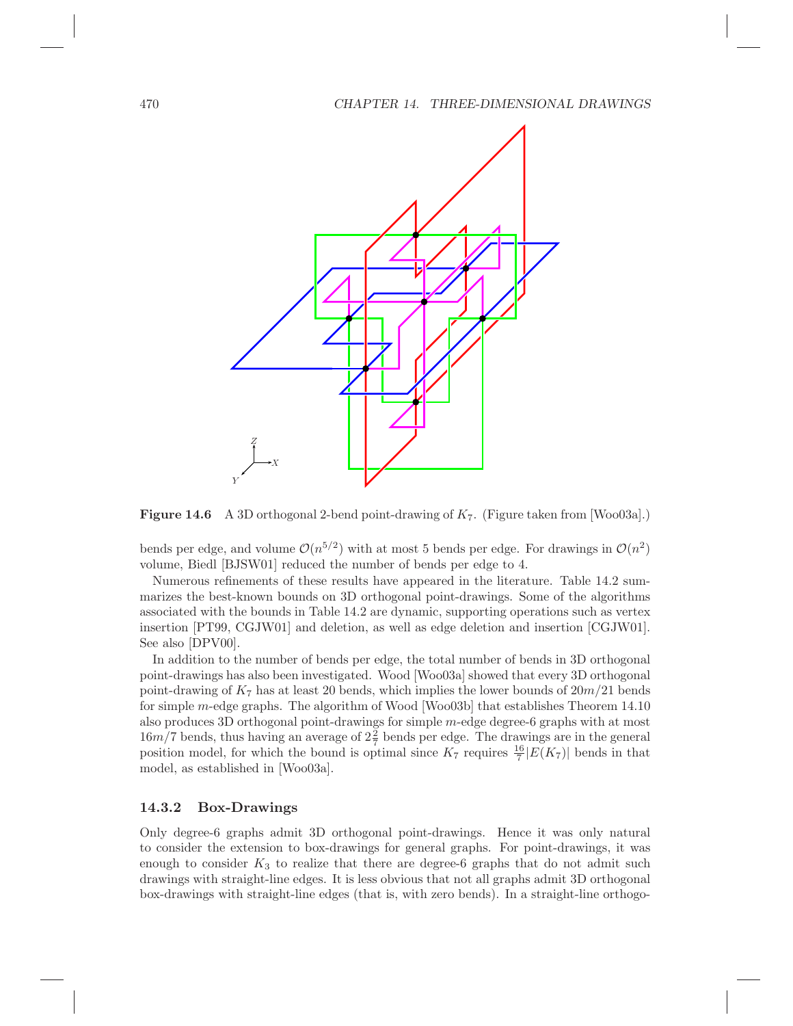

**Figure 14.6** A 3D orthogonal 2-bend point-drawing of  $K_7$ . (Figure taken from [Woo03a].)

bends per edge, and volume  $\mathcal{O}(n^{5/2})$  with at most 5 bends per edge. For drawings in  $\mathcal{O}(n^2)$ volume, Biedl [BJSW01] reduced the number of bends per edge to 4.

Numerous refinements of these results have appeared in the literature. Table 14.2 summarizes the best-known bounds on 3D orthogonal point-drawings. Some of the algorithms associated with the bounds in Table 14.2 are dynamic, supporting operations such as vertex insertion [PT99, CGJW01] and deletion, as well as edge deletion and insertion [CGJW01]. See also [DPV00].

In addition to the number of bends per edge, the total number of bends in 3D orthogonal point-drawings has also been investigated. Wood [Woo03a] showed that every 3D orthogonal point-drawing of  $K_7$  has at least 20 bends, which implies the lower bounds of  $20m/21$  bends for simple  $m$ -edge graphs. The algorithm of Wood [Woo03b] that establishes Theorem 14.10 also produces 3D orthogonal point-drawings for simple m-edge degree-6 graphs with at most  $16m/7$  bends, thus having an average of  $2\frac{2}{7}$  bends per edge. The drawings are in the general position model, for which the bound is optimal since  $K_7$  requires  $\frac{16}{7}|E(K_7)|$  bends in that model, as established in [Woo03a].

#### 14.3.2 Box-Drawings

Only degree-6 graphs admit 3D orthogonal point-drawings. Hence it was only natural to consider the extension to box-drawings for general graphs. For point-drawings, it was enough to consider  $K_3$  to realize that there are degree-6 graphs that do not admit such drawings with straight-line edges. It is less obvious that not all graphs admit 3D orthogonal box-drawings with straight-line edges (that is, with zero bends). In a straight-line orthogo-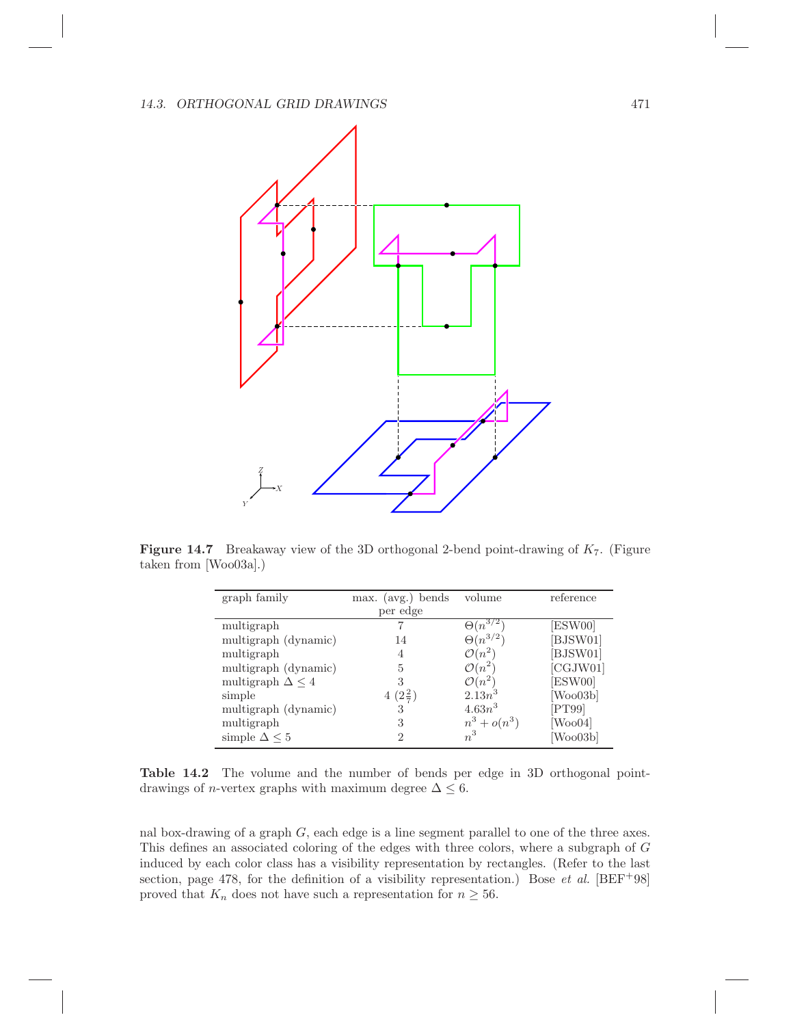

**Figure 14.7** Breakaway view of the 3D orthogonal 2-bend point-drawing of  $K_7$ . (Figure taken from [Woo03a].)

| graph family            | max. (avg.) bends | volume             | reference |
|-------------------------|-------------------|--------------------|-----------|
|                         | per edge          |                    |           |
| multigraph              |                   | $\Theta(n^{3/2})$  | [ESW00]   |
| multigraph (dynamic)    | 14                | $\Theta(n^{3/2})$  | [BJSW01]  |
| multigraph              | 4                 | $\mathcal{O}(n^2)$ | [BJSW01]  |
| multigraph (dynamic)    | 5                 | $\mathcal{O}(n^2)$ | [CGJW01]  |
| multigraph $\Delta < 4$ | 3                 | $\mathcal{O}(n^2)$ | [ESW00]   |
| simple                  | $4(2\frac{2}{7})$ | $2.13n^3$          | [Woo03b]  |
| multigraph (dynamic)    | 3                 | $4.63n^3$          | [PT99]    |
| multigraph              | 3                 | $n^3 + o(n^3)$     | [Woo04]   |
| simple $\Delta \leq 5$  | $\mathcal{D}$     | $n^3$              | [Woo03b]  |

Table 14.2 The volume and the number of bends per edge in 3D orthogonal pointdrawings of *n*-vertex graphs with maximum degree  $\Delta \leq 6$ .

nal box-drawing of a graph G, each edge is a line segment parallel to one of the three axes. This defines an associated coloring of the edges with three colors, where a subgraph of G induced by each color class has a visibility representation by rectangles. (Refer to the last section, page 478, for the definition of a visibility representation.) Bose *et al.* [BEF<sup>+98]</sup> proved that  $K_n$  does not have such a representation for  $n \geq 56$ .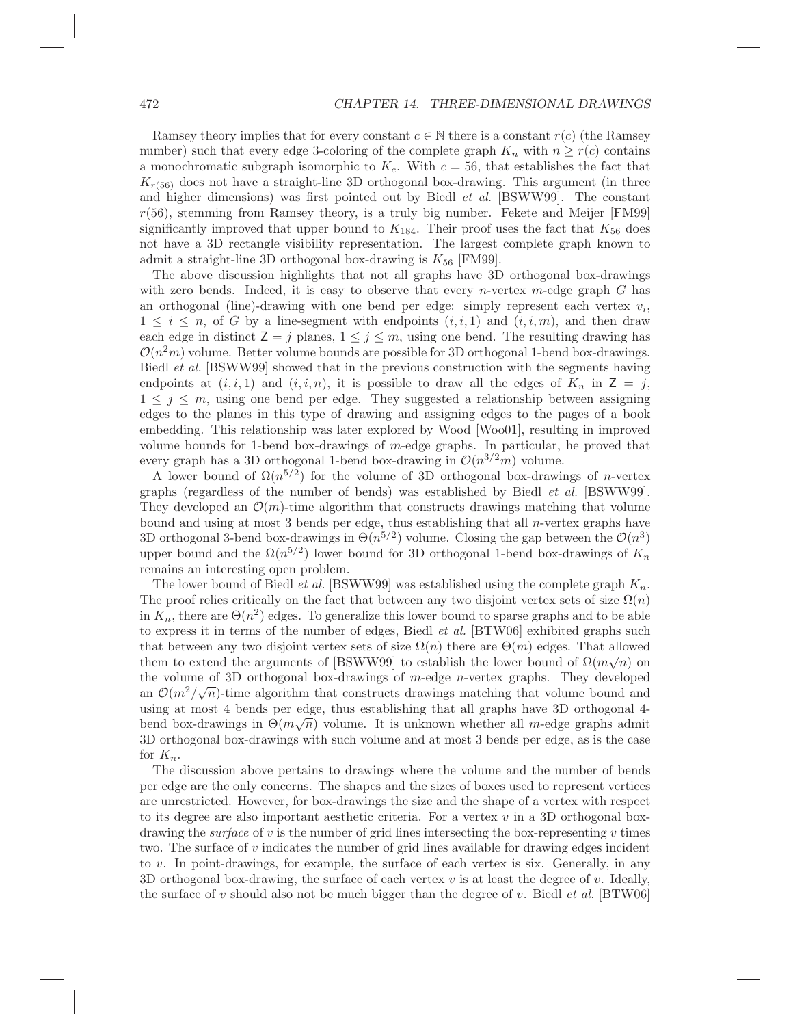Ramsey theory implies that for every constant  $c \in \mathbb{N}$  there is a constant  $r(c)$  (the Ramsey number) such that every edge 3-coloring of the complete graph  $K_n$  with  $n \geq r(c)$  contains a monochromatic subgraph isomorphic to  $K_c$ . With  $c = 56$ , that establishes the fact that  $K_{r(56)}$  does not have a straight-line 3D orthogonal box-drawing. This argument (in three and higher dimensions) was first pointed out by Biedl et al. [BSWW99]. The constant  $r(56)$ , stemming from Ramsey theory, is a truly big number. Fekete and Meijer [FM99] significantly improved that upper bound to  $K_{184}$ . Their proof uses the fact that  $K_{56}$  does not have a 3D rectangle visibility representation. The largest complete graph known to admit a straight-line 3D orthogonal box-drawing is  $K_{56}$  [FM99].

The above discussion highlights that not all graphs have 3D orthogonal box-drawings with zero bends. Indeed, it is easy to observe that every *n*-vertex  $m$ -edge graph  $G$  has an orthogonal (line)-drawing with one bend per edge: simply represent each vertex  $v_i$ ,  $1 \leq i \leq n$ , of G by a line-segment with endpoints  $(i, i, 1)$  and  $(i, i, m)$ , and then draw each edge in distinct  $Z = j$  planes,  $1 \leq j \leq m$ , using one bend. The resulting drawing has  $\mathcal{O}(n^2m)$  volume. Better volume bounds are possible for 3D orthogonal 1-bend box-drawings. Biedl *et al.* [BSWW99] showed that in the previous construction with the segments having endpoints at  $(i, i, 1)$  and  $(i, i, n)$ , it is possible to draw all the edges of  $K_n$  in  $\mathsf{Z} = j$ ,  $1 \leq j \leq m$ , using one bend per edge. They suggested a relationship between assigning edges to the planes in this type of drawing and assigning edges to the pages of a book embedding. This relationship was later explored by Wood [Woo01], resulting in improved volume bounds for 1-bend box-drawings of  $m$ -edge graphs. In particular, he proved that every graph has a 3D orthogonal 1-bend box-drawing in  $\mathcal{O}(n^{3/2}m)$  volume.

A lower bound of  $\Omega(n^{5/2})$  for the volume of 3D orthogonal box-drawings of *n*-vertex graphs (regardless of the number of bends) was established by Biedl et al. [BSWW99]. They developed an  $\mathcal{O}(m)$ -time algorithm that constructs drawings matching that volume bound and using at most 3 bends per edge, thus establishing that all  $n$ -vertex graphs have 3D orthogonal 3-bend box-drawings in  $\Theta(n^{5/2})$  volume. Closing the gap between the  $\mathcal{O}(n^3)$ upper bound and the  $\Omega(n^{5/2})$  lower bound for 3D orthogonal 1-bend box-drawings of  $K_n$ remains an interesting open problem.

The lower bound of Biedl *et al.* [BSWW99] was established using the complete graph  $K_n$ . The proof relies critically on the fact that between any two disjoint vertex sets of size  $\Omega(n)$ in  $K_n$ , there are  $\Theta(n^2)$  edges. To generalize this lower bound to sparse graphs and to be able to express it in terms of the number of edges, Biedl *et al.* [BTW06] exhibited graphs such that between any two disjoint vertex sets of size  $\Omega(n)$  there are  $\Theta(m)$  edges. That allowed them to extend the arguments of [BSWW99] to establish the lower bound of  $\Omega(m\sqrt{n})$  on the volume of 3D orthogonal box-drawings of  $m$ -edge  $n$ -vertex graphs. They developed an  $\mathcal{O}(m^2/\sqrt{n})$ -time algorithm that constructs drawings matching that volume bound and using at most 4 bends per edge, thus establishing that all graphs have 3D orthogonal 4 bend box-drawings in  $\Theta(m\sqrt{n})$  volume. It is unknown whether all m-edge graphs admit 3D orthogonal box-drawings with such volume and at most 3 bends per edge, as is the case for  $K_n$ .

The discussion above pertains to drawings where the volume and the number of bends per edge are the only concerns. The shapes and the sizes of boxes used to represent vertices are unrestricted. However, for box-drawings the size and the shape of a vertex with respect to its degree are also important aesthetic criteria. For a vertex  $v$  in a 3D orthogonal boxdrawing the *surface* of  $v$  is the number of grid lines intersecting the box-representing  $v$  times two. The surface of v indicates the number of grid lines available for drawing edges incident to  $v$ . In point-drawings, for example, the surface of each vertex is six. Generally, in any 3D orthogonal box-drawing, the surface of each vertex  $v$  is at least the degree of  $v$ . Ideally, the surface of v should also not be much bigger than the degree of v. Biedl *et al.* [BTW06]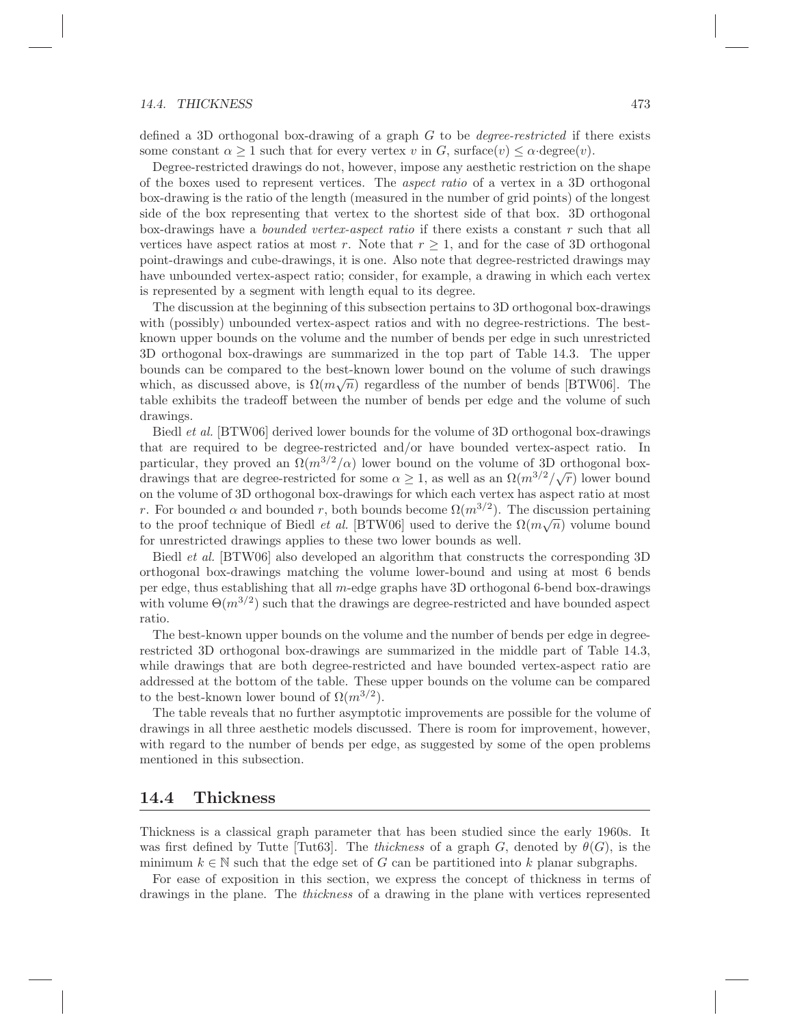#### 14.4. THICKNESS 473

defined a 3D orthogonal box-drawing of a graph  $G$  to be *degree-restricted* if there exists some constant  $\alpha \geq 1$  such that for every vertex v in G, surface(v)  $\leq \alpha$ ·degree(v).

Degree-restricted drawings do not, however, impose any aesthetic restriction on the shape of the boxes used to represent vertices. The aspect ratio of a vertex in a 3D orthogonal box-drawing is the ratio of the length (measured in the number of grid points) of the longest side of the box representing that vertex to the shortest side of that box. 3D orthogonal box-drawings have a bounded vertex-aspect ratio if there exists a constant r such that all vertices have aspect ratios at most r. Note that  $r \geq 1$ , and for the case of 3D orthogonal point-drawings and cube-drawings, it is one. Also note that degree-restricted drawings may have unbounded vertex-aspect ratio; consider, for example, a drawing in which each vertex is represented by a segment with length equal to its degree.

The discussion at the beginning of this subsection pertains to 3D orthogonal box-drawings with (possibly) unbounded vertex-aspect ratios and with no degree-restrictions. The bestknown upper bounds on the volume and the number of bends per edge in such unrestricted 3D orthogonal box-drawings are summarized in the top part of Table 14.3. The upper bounds can be compared to the best-known lower bound on the volume of such drawings which, as discussed above, is  $\Omega(m\sqrt{n})$  regardless of the number of bends [BTW06]. The table exhibits the tradeoff between the number of bends per edge and the volume of such drawings.

Biedl *et al.* [BTW06] derived lower bounds for the volume of 3D orthogonal box-drawings that are required to be degree-restricted and/or have bounded vertex-aspect ratio. In particular, they proved an  $\Omega(m^{3/2}/\alpha)$  lower bound on the volume of 3D orthogonal boxdrawings that are degree-restricted for some  $\alpha \ge 1$ , as well as an  $\Omega(m^{3/2}/\sqrt{r})$  lower bound on the volume of 3D orthogonal box-drawings for which each vertex has aspect ratio at most r. For bounded  $\alpha$  and bounded r, both bounds become  $\Omega(m^{3/2})$ . The discussion pertaining to the proof technique of Biedl *et al.* [BTW06] used to derive the  $\Omega(m\sqrt{n})$  volume bound for unrestricted drawings applies to these two lower bounds as well.

Biedl et al. [BTW06] also developed an algorithm that constructs the corresponding 3D orthogonal box-drawings matching the volume lower-bound and using at most 6 bends per edge, thus establishing that all m-edge graphs have 3D orthogonal 6-bend box-drawings with volume  $\Theta(m^{3/2})$  such that the drawings are degree-restricted and have bounded aspect ratio.

The best-known upper bounds on the volume and the number of bends per edge in degreerestricted 3D orthogonal box-drawings are summarized in the middle part of Table 14.3, while drawings that are both degree-restricted and have bounded vertex-aspect ratio are addressed at the bottom of the table. These upper bounds on the volume can be compared to the best-known lower bound of  $\Omega(m^{3/2})$ .

The table reveals that no further asymptotic improvements are possible for the volume of drawings in all three aesthetic models discussed. There is room for improvement, however, with regard to the number of bends per edge, as suggested by some of the open problems mentioned in this subsection.

#### 14.4 Thickness

Thickness is a classical graph parameter that has been studied since the early 1960s. It was first defined by Tutte [Tut63]. The *thickness* of a graph G, denoted by  $\theta(G)$ , is the minimum  $k \in \mathbb{N}$  such that the edge set of G can be partitioned into k planar subgraphs.

For ease of exposition in this section, we express the concept of thickness in terms of drawings in the plane. The thickness of a drawing in the plane with vertices represented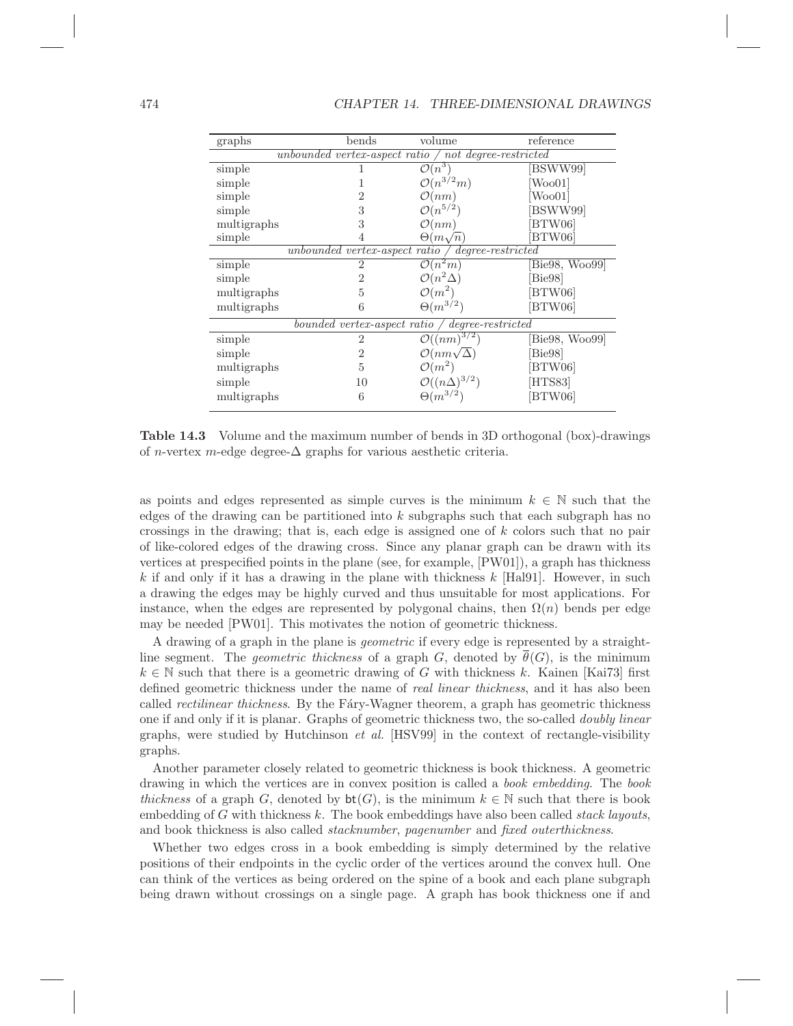| graphs                                            | bends                                                 | volume                         | reference    |
|---------------------------------------------------|-------------------------------------------------------|--------------------------------|--------------|
|                                                   | unbounded vertex-aspect ratio / not degree-restricted |                                |              |
| simple                                            |                                                       | $\mathcal{O}(n^3)$             | [BSWW99]     |
| simple                                            |                                                       | $\mathcal{O}(n^{3/2}m)$        | [Wood]       |
| simple                                            | 2                                                     | $\mathcal{O}(nm)$              | [Woo01]      |
| simple                                            | 3                                                     | $\mathcal{O}(n^{5/2})$         | BSWW99]      |
| 3<br>multigraphs                                  |                                                       | $\mathcal{O}(nm)$              | [BTW06]      |
| simple                                            |                                                       | $\Theta(m\sqrt{n})$            | [BTW06]      |
| unbounded vertex-aspect ratio / degree-restricted |                                                       |                                |              |
| simple                                            | 2                                                     | $\overline{\mathcal{O}(n^2m)}$ | Bie98, Woo99 |
| simple                                            | 2                                                     | $\mathcal{O}(n^2\Delta)$       | Bie98        |
| multigraphs                                       | 5                                                     | $\mathcal{O}(m^2)$             | [BTW06]      |
| multigraphs                                       | 6                                                     | $\Theta(m^{3/2})$              | [BTW06]      |
|                                                   | bounded vertex-aspect ratio / degree-restricted       |                                |              |
| simple                                            | 2                                                     | $\mathcal{O}((nm)^{3/2})$      | Bie98, Woo99 |
| simple                                            | 2                                                     | $\mathcal{O}(nm\sqrt{\Delta})$ | Bie98        |
| multigraphs                                       | 5                                                     | $\mathcal{O}(m^2)$             | [BTW06]      |
| simple                                            | 10                                                    | $\mathcal{O}((n\Delta)^{3/2})$ | [HTS83]      |
| multigraphs                                       | 6                                                     | $\Theta(m^{3/2})$              | BTW06        |

Table 14.3 Volume and the maximum number of bends in 3D orthogonal (box)-drawings of *n*-vertex *m*-edge degree- $\Delta$  graphs for various aesthetic criteria.

as points and edges represented as simple curves is the minimum  $k \in \mathbb{N}$  such that the edges of the drawing can be partitioned into  $k$  subgraphs such that each subgraph has no crossings in the drawing; that is, each edge is assigned one of k colors such that no pair of like-colored edges of the drawing cross. Since any planar graph can be drawn with its vertices at prespecified points in the plane (see, for example, [PW01]), a graph has thickness k if and only if it has a drawing in the plane with thickness  $k$  [Hal91]. However, in such a drawing the edges may be highly curved and thus unsuitable for most applications. For instance, when the edges are represented by polygonal chains, then  $\Omega(n)$  bends per edge may be needed [PW01]. This motivates the notion of geometric thickness.

A drawing of a graph in the plane is geometric if every edge is represented by a straightline segment. The *geometric thickness* of a graph G, denoted by  $\overline{\theta}(G)$ , is the minimum  $k \in \mathbb{N}$  such that there is a geometric drawing of G with thickness k. Kainen [Kai73] first defined geometric thickness under the name of *real linear thickness*, and it has also been called *rectilinear thickness*. By the Fáry-Wagner theorem, a graph has geometric thickness one if and only if it is planar. Graphs of geometric thickness two, the so-called *doubly linear* graphs, were studied by Hutchinson *et al.* [HSV99] in the context of rectangle-visibility graphs.

Another parameter closely related to geometric thickness is book thickness. A geometric drawing in which the vertices are in convex position is called a book embedding. The book thickness of a graph G, denoted by  $\text{bt}(G)$ , is the minimum  $k \in \mathbb{N}$  such that there is book embedding of  $G$  with thickness  $k$ . The book embeddings have also been called stack layouts, and book thickness is also called stacknumber, pagenumber and fixed outerthickness.

Whether two edges cross in a book embedding is simply determined by the relative positions of their endpoints in the cyclic order of the vertices around the convex hull. One can think of the vertices as being ordered on the spine of a book and each plane subgraph being drawn without crossings on a single page. A graph has book thickness one if and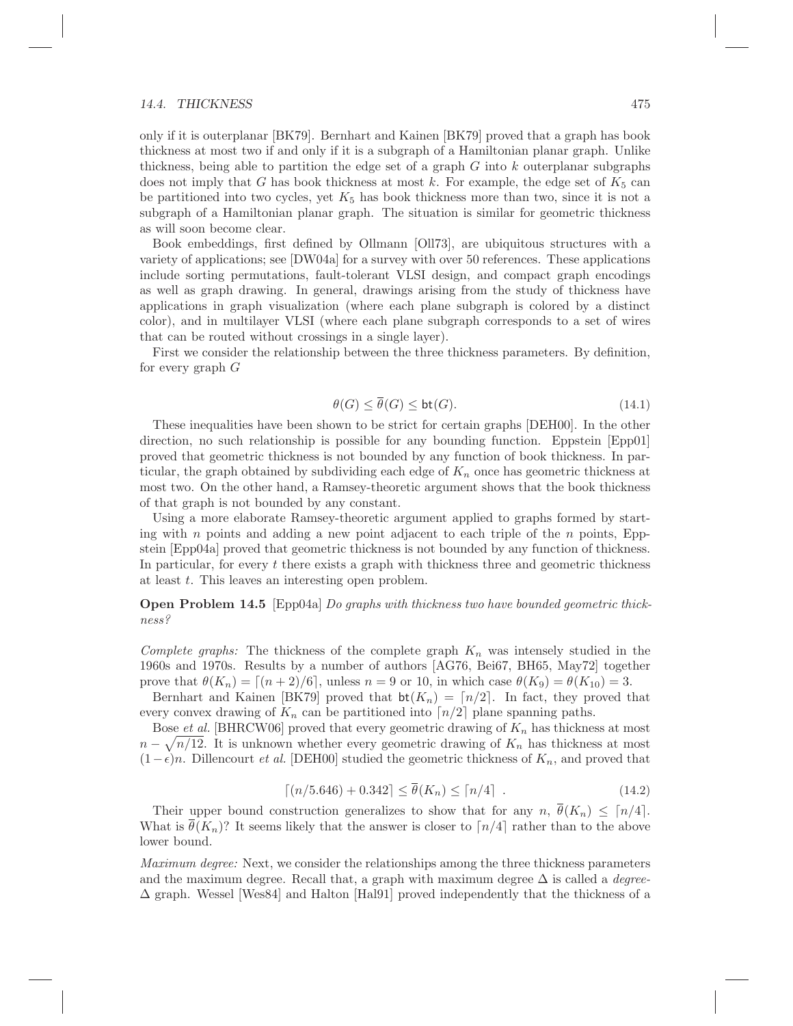#### 14.4. THICKNESS 475

only if it is outerplanar [BK79]. Bernhart and Kainen [BK79] proved that a graph has book thickness at most two if and only if it is a subgraph of a Hamiltonian planar graph. Unlike thickness, being able to partition the edge set of a graph  $G$  into k outerplanar subgraphs does not imply that G has book thickness at most k. For example, the edge set of  $K_5$  can be partitioned into two cycles, yet  $K_5$  has book thickness more than two, since it is not a subgraph of a Hamiltonian planar graph. The situation is similar for geometric thickness as will soon become clear.

Book embeddings, first defined by Ollmann [Oll73], are ubiquitous structures with a variety of applications; see [DW04a] for a survey with over 50 references. These applications include sorting permutations, fault-tolerant VLSI design, and compact graph encodings as well as graph drawing. In general, drawings arising from the study of thickness have applications in graph visualization (where each plane subgraph is colored by a distinct color), and in multilayer VLSI (where each plane subgraph corresponds to a set of wires that can be routed without crossings in a single layer).

First we consider the relationship between the three thickness parameters. By definition, for every graph  $G$ 

$$
\theta(G) \le \overline{\theta}(G) \le \text{bt}(G). \tag{14.1}
$$

These inequalities have been shown to be strict for certain graphs [DEH00]. In the other direction, no such relationship is possible for any bounding function. Eppstein [Epp01] proved that geometric thickness is not bounded by any function of book thickness. In particular, the graph obtained by subdividing each edge of  $K_n$  once has geometric thickness at most two. On the other hand, a Ramsey-theoretic argument shows that the book thickness of that graph is not bounded by any constant.

Using a more elaborate Ramsey-theoretic argument applied to graphs formed by starting with  $n$  points and adding a new point adjacent to each triple of the  $n$  points, Eppstein [Epp04a] proved that geometric thickness is not bounded by any function of thickness. In particular, for every  $t$  there exists a graph with thickness three and geometric thickness at least t. This leaves an interesting open problem.

**Open Problem 14.5** [Epp04a] *Do graphs with thickness two have bounded geometric thick*ness?

Complete graphs: The thickness of the complete graph  $K_n$  was intensely studied in the 1960s and 1970s. Results by a number of authors [AG76, Bei67, BH65, May72] together prove that  $\theta(K_n) = \lfloor (n+2)/6 \rfloor$ , unless  $n = 9$  or 10, in which case  $\theta(K_9) = \theta(K_{10}) = 3$ .

Bernhart and Kainen [BK79] proved that  $bt(K_n) = \lfloor n/2 \rfloor$ . In fact, they proved that every convex drawing of  $K_n$  can be partitioned into  $\lceil n/2 \rceil$  plane spanning paths.

Bose *et al.* [BHRCW06] proved that every geometric drawing of  $K_n$  has thickness at most  $n - \sqrt{n/12}$ . It is unknown whether every geometric drawing of  $K_n$  has thickness at most  $(1-\epsilon)n$ . Dillencourt *et al.* [DEH00] studied the geometric thickness of  $K_n$ , and proved that

$$
\lceil (n/5.646) + 0.342 \rceil \le \overline{\theta}(K_n) \le \lceil n/4 \rceil \tag{14.2}
$$

Their upper bound construction generalizes to show that for any  $n, \overline{\theta}(K_n) \leq \lfloor n/4 \rfloor$ . What is  $\bar{\theta}(K_n)$ ? It seems likely that the answer is closer to  $\lceil n/4 \rceil$  rather than to the above lower bound.

Maximum degree: Next, we consider the relationships among the three thickness parameters and the maximum degree. Recall that, a graph with maximum degree  $\Delta$  is called a *degree-* $\Delta$  graph. Wessel [Wes84] and Halton [Hal91] proved independently that the thickness of a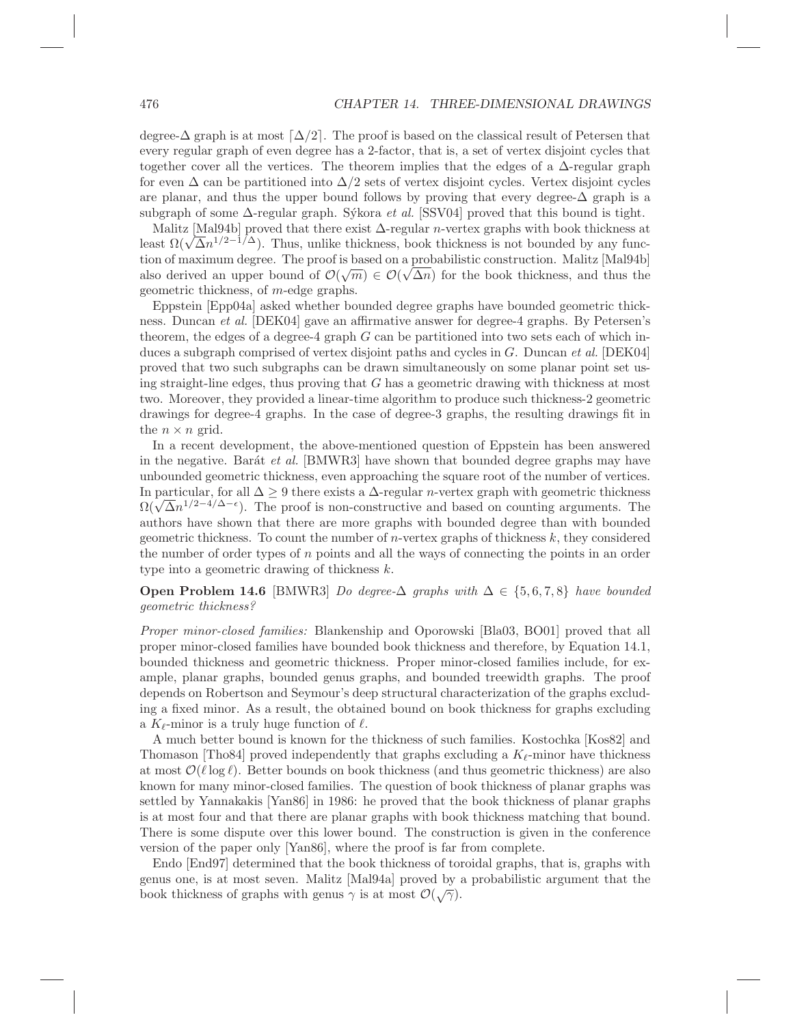degree- $\Delta$  graph is at most  $\lceil \Delta/2 \rceil$ . The proof is based on the classical result of Petersen that every regular graph of even degree has a 2-factor, that is, a set of vertex disjoint cycles that together cover all the vertices. The theorem implies that the edges of a  $\Delta$ -regular graph for even  $\Delta$  can be partitioned into  $\Delta/2$  sets of vertex disjoint cycles. Vertex disjoint cycles are planar, and thus the upper bound follows by proving that every degree- $\Delta$  graph is a subgraph of some  $\Delta$ -regular graph. Sýkora et al. [SSV04] proved that this bound is tight.

Malitz [Mal94b] proved that there exist  $\Delta$ -regular *n*-vertex graphs with book thickness at least  $\Omega(\sqrt{\Delta}n^{1/2-1/\Delta})$ . Thus, unlike thickness, book thickness is not bounded by any function of maximum degree. The proof is based on a probabilistic construction. Malitz [Mal94b] also derived an upper bound of  $\mathcal{O}(\sqrt{m}) \in \mathcal{O}(\sqrt{\Delta n})$  for the book thickness, and thus the geometric thickness, of m-edge graphs.

Eppstein [Epp04a] asked whether bounded degree graphs have bounded geometric thickness. Duncan et al. [DEK04] gave an affirmative answer for degree-4 graphs. By Petersen's theorem, the edges of a degree-4 graph  $G$  can be partitioned into two sets each of which induces a subgraph comprised of vertex disjoint paths and cycles in G. Duncan *et al.* [DEK04] proved that two such subgraphs can be drawn simultaneously on some planar point set using straight-line edges, thus proving that G has a geometric drawing with thickness at most two. Moreover, they provided a linear-time algorithm to produce such thickness-2 geometric drawings for degree-4 graphs. In the case of degree-3 graphs, the resulting drawings fit in the  $n \times n$  grid.

In a recent development, the above-mentioned question of Eppstein has been answered in the negative. Barát *et al.* [BMWR3] have shown that bounded degree graphs may have unbounded geometric thickness, even approaching the square root of the number of vertices. In particular, for all  $\Delta \geq 9$  there exists a  $\Delta$ -regular *n*-vertex graph with geometric thickness  $\Omega(\sqrt{\Delta}n^{1/2-4/\Delta-\epsilon})$ . The proof is non-constructive and based on counting arguments. The authors have shown that there are more graphs with bounded degree than with bounded geometric thickness. To count the number of  $n$ -vertex graphs of thickness  $k$ , they considered the number of order types of  $n$  points and all the ways of connecting the points in an order type into a geometric drawing of thickness  $k$ .

**Open Problem 14.6** [BMWR3] Do degree- $\Delta$  graphs with  $\Delta \in \{5, 6, 7, 8\}$  have bounded geometric thickness?

Proper minor-closed families: Blankenship and Oporowski [Bla03, BO01] proved that all proper minor-closed families have bounded book thickness and therefore, by Equation 14.1, bounded thickness and geometric thickness. Proper minor-closed families include, for example, planar graphs, bounded genus graphs, and bounded treewidth graphs. The proof depends on Robertson and Seymour's deep structural characterization of the graphs excluding a fixed minor. As a result, the obtained bound on book thickness for graphs excluding a  $K_{\ell}$ -minor is a truly huge function of  $\ell$ .

A much better bound is known for the thickness of such families. Kostochka [Kos82] and Thomason [Tho84] proved independently that graphs excluding a  $K_{\ell}$ -minor have thickness at most  $\mathcal{O}(\ell \log \ell)$ . Better bounds on book thickness (and thus geometric thickness) are also known for many minor-closed families. The question of book thickness of planar graphs was settled by Yannakakis [Yan86] in 1986: he proved that the book thickness of planar graphs is at most four and that there are planar graphs with book thickness matching that bound. There is some dispute over this lower bound. The construction is given in the conference version of the paper only [Yan86], where the proof is far from complete.

Endo [End97] determined that the book thickness of toroidal graphs, that is, graphs with genus one, is at most seven. Malitz [Mal94a] proved by a probabilistic argument that the book thickness of graphs with genus  $\gamma$  is at most  $\mathcal{O}(\sqrt{\gamma})$ .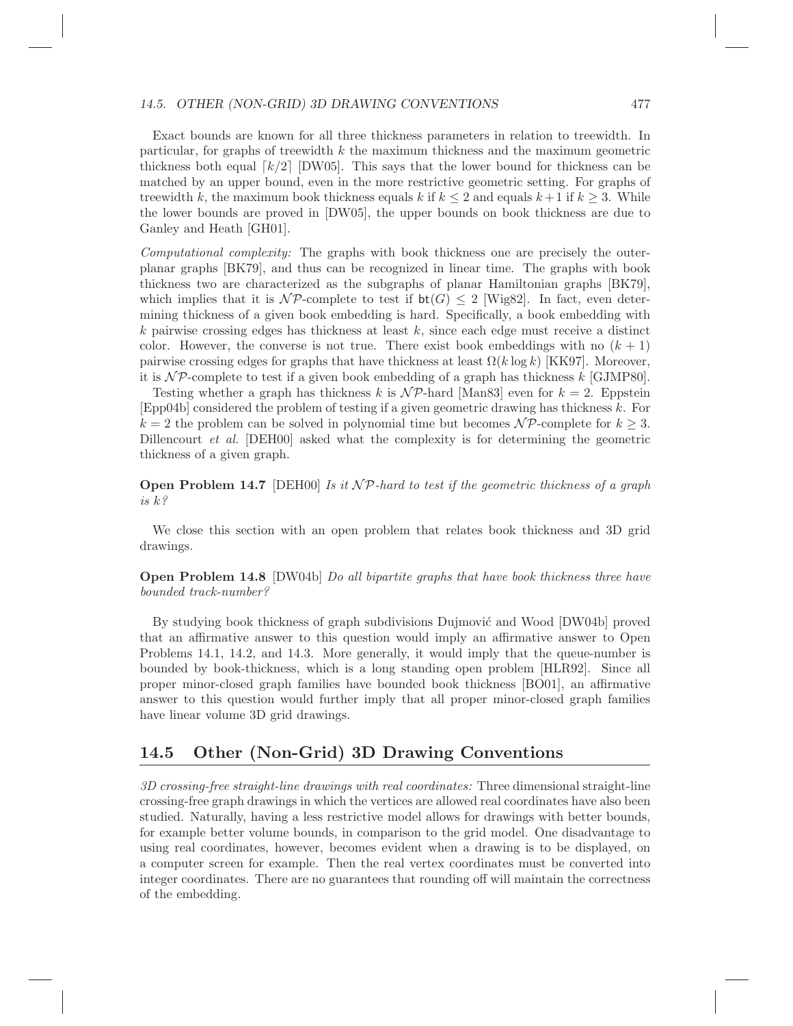#### 14.5. OTHER (NON-GRID) 3D DRAWING CONVENTIONS 477

Exact bounds are known for all three thickness parameters in relation to treewidth. In particular, for graphs of treewidth  $k$  the maximum thickness and the maximum geometric thickness both equal  $k/2$  DW05. This says that the lower bound for thickness can be matched by an upper bound, even in the more restrictive geometric setting. For graphs of treewidth k, the maximum book thickness equals k if  $k \leq 2$  and equals  $k+1$  if  $k \geq 3$ . While the lower bounds are proved in [DW05], the upper bounds on book thickness are due to Ganley and Heath [GH01].

Computational complexity: The graphs with book thickness one are precisely the outerplanar graphs [BK79], and thus can be recognized in linear time. The graphs with book thickness two are characterized as the subgraphs of planar Hamiltonian graphs [BK79], which implies that it is  $\mathcal{NP}$ -complete to test if  $bt(G) \leq 2$  [Wig82]. In fact, even determining thickness of a given book embedding is hard. Specifically, a book embedding with k pairwise crossing edges has thickness at least  $k$ , since each edge must receive a distinct color. However, the converse is not true. There exist book embeddings with no  $(k + 1)$ pairwise crossing edges for graphs that have thickness at least  $\Omega(k \log k)$  [KK97]. Moreover, it is  $\mathcal{NP}$ -complete to test if a given book embedding of a graph has thickness k [GJMP80].

Testing whether a graph has thickness k is  $\mathcal{NP}$ -hard [Man83] even for  $k = 2$ . Eppstein [Epp04b] considered the problem of testing if a given geometric drawing has thickness k. For  $k = 2$  the problem can be solved in polynomial time but becomes  $\mathcal{NP}$ -complete for  $k \geq 3$ . Dillencourt *et al.* [DEH00] asked what the complexity is for determining the geometric thickness of a given graph.

**Open Problem 14.7** [DEH00] Is it  $\mathcal{NP}$ -hard to test if the geometric thickness of a graph is k?

We close this section with an open problem that relates book thickness and 3D grid drawings.

**Open Problem 14.8** [DW04b] *Do all bipartite graphs that have book thickness three have* bounded track-number?

By studying book thickness of graph subdivisions Dujmović and Wood [DW04b] proved that an affirmative answer to this question would imply an affirmative answer to Open Problems 14.1, 14.2, and 14.3. More generally, it would imply that the queue-number is bounded by book-thickness, which is a long standing open problem [HLR92]. Since all proper minor-closed graph families have bounded book thickness [BO01], an affirmative answer to this question would further imply that all proper minor-closed graph families have linear volume 3D grid drawings.

#### 14.5 Other (Non-Grid) 3D Drawing Conventions

3D crossing-free straight-line drawings with real coordinates: Three dimensional straight-line crossing-free graph drawings in which the vertices are allowed real coordinates have also been studied. Naturally, having a less restrictive model allows for drawings with better bounds, for example better volume bounds, in comparison to the grid model. One disadvantage to using real coordinates, however, becomes evident when a drawing is to be displayed, on a computer screen for example. Then the real vertex coordinates must be converted into integer coordinates. There are no guarantees that rounding off will maintain the correctness of the embedding.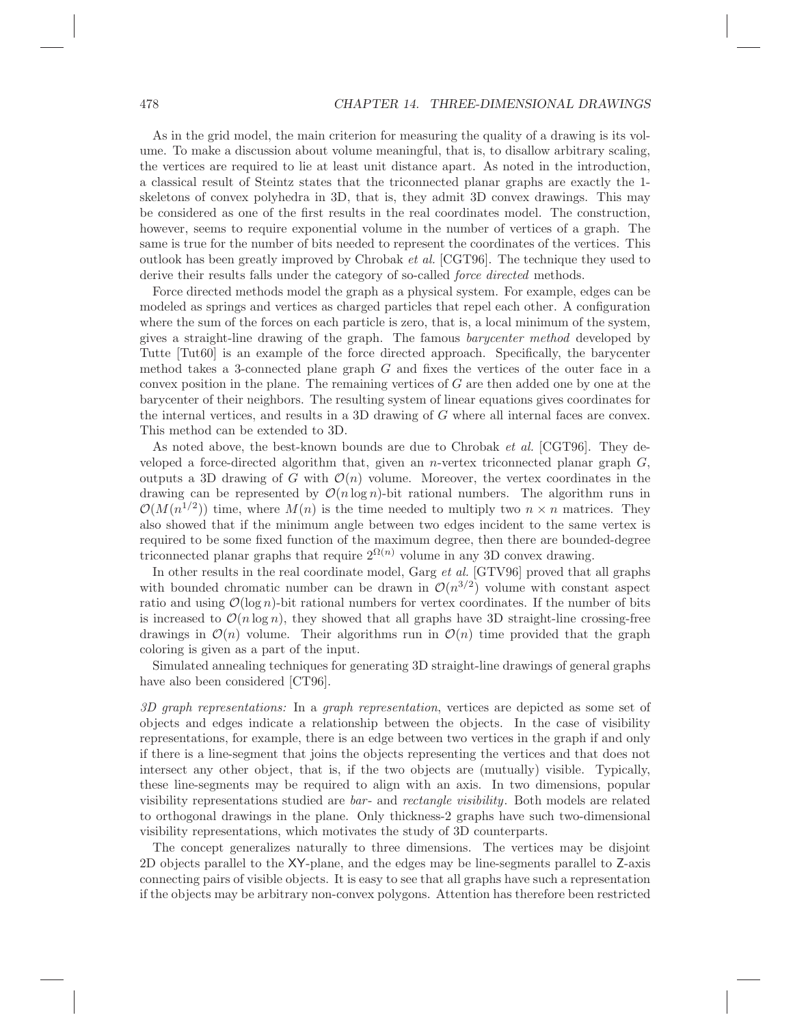As in the grid model, the main criterion for measuring the quality of a drawing is its volume. To make a discussion about volume meaningful, that is, to disallow arbitrary scaling, the vertices are required to lie at least unit distance apart. As noted in the introduction, a classical result of Steintz states that the triconnected planar graphs are exactly the 1 skeletons of convex polyhedra in 3D, that is, they admit 3D convex drawings. This may be considered as one of the first results in the real coordinates model. The construction, however, seems to require exponential volume in the number of vertices of a graph. The same is true for the number of bits needed to represent the coordinates of the vertices. This outlook has been greatly improved by Chrobak et al. [CGT96]. The technique they used to derive their results falls under the category of so-called *force directed* methods.

Force directed methods model the graph as a physical system. For example, edges can be modeled as springs and vertices as charged particles that repel each other. A configuration where the sum of the forces on each particle is zero, that is, a local minimum of the system, gives a straight-line drawing of the graph. The famous barycenter method developed by Tutte [Tut60] is an example of the force directed approach. Specifically, the barycenter method takes a 3-connected plane graph  $G$  and fixes the vertices of the outer face in a convex position in the plane. The remaining vertices of  $G$  are then added one by one at the barycenter of their neighbors. The resulting system of linear equations gives coordinates for the internal vertices, and results in a 3D drawing of G where all internal faces are convex. This method can be extended to 3D.

As noted above, the best-known bounds are due to Chrobak *et al.* [CGT96]. They developed a force-directed algorithm that, given an *n*-vertex triconnected planar graph  $G$ , outputs a 3D drawing of G with  $\mathcal{O}(n)$  volume. Moreover, the vertex coordinates in the drawing can be represented by  $\mathcal{O}(n \log n)$ -bit rational numbers. The algorithm runs in  $\mathcal{O}(M(n^{1/2}))$  time, where  $M(n)$  is the time needed to multiply two  $n \times n$  matrices. They also showed that if the minimum angle between two edges incident to the same vertex is required to be some fixed function of the maximum degree, then there are bounded-degree triconnected planar graphs that require  $2^{\Omega(n)}$  volume in any 3D convex drawing.

In other results in the real coordinate model, Garg *et al.* [GTV96] proved that all graphs with bounded chromatic number can be drawn in  $\mathcal{O}(n^{3/2})$  volume with constant aspect ratio and using  $\mathcal{O}(\log n)$ -bit rational numbers for vertex coordinates. If the number of bits is increased to  $\mathcal{O}(n \log n)$ , they showed that all graphs have 3D straight-line crossing-free drawings in  $\mathcal{O}(n)$  volume. Their algorithms run in  $\mathcal{O}(n)$  time provided that the graph coloring is given as a part of the input.

Simulated annealing techniques for generating 3D straight-line drawings of general graphs have also been considered [CT96].

3D graph representations: In a graph representation, vertices are depicted as some set of objects and edges indicate a relationship between the objects. In the case of visibility representations, for example, there is an edge between two vertices in the graph if and only if there is a line-segment that joins the objects representing the vertices and that does not intersect any other object, that is, if the two objects are (mutually) visible. Typically, these line-segments may be required to align with an axis. In two dimensions, popular visibility representations studied are *bar*- and *rectangle visibility*. Both models are related to orthogonal drawings in the plane. Only thickness-2 graphs have such two-dimensional visibility representations, which motivates the study of 3D counterparts.

The concept generalizes naturally to three dimensions. The vertices may be disjoint 2D objects parallel to the XY-plane, and the edges may be line-segments parallel to Z-axis connecting pairs of visible objects. It is easy to see that all graphs have such a representation if the objects may be arbitrary non-convex polygons. Attention has therefore been restricted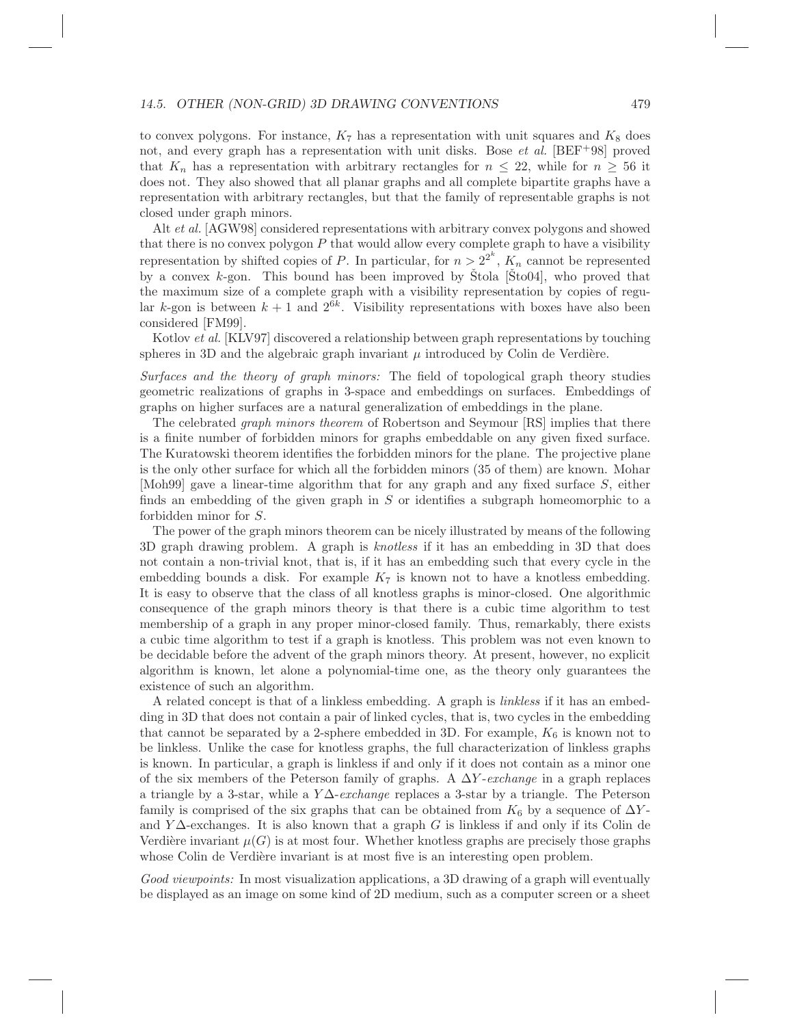to convex polygons. For instance,  $K_7$  has a representation with unit squares and  $K_8$  does not, and every graph has a representation with unit disks. Bose *et al.* [BEF<sup>+98]</sup> proved that  $K_n$  has a representation with arbitrary rectangles for  $n \leq 22$ , while for  $n \geq 56$  it does not. They also showed that all planar graphs and all complete bipartite graphs have a representation with arbitrary rectangles, but that the family of representable graphs is not closed under graph minors.

Alt *et al.* [AGW98] considered representations with arbitrary convex polygons and showed that there is no convex polygon  $P$  that would allow every complete graph to have a visibility representation by shifted copies of P. In particular, for  $n > 2^{2^k}$ ,  $K_n$  cannot be represented by a convex  $k$ -gon. This bound has been improved by Štola [Što04], who proved that the maximum size of a complete graph with a visibility representation by copies of regular k-gon is between  $k+1$  and  $2^{6k}$ . Visibility representations with boxes have also been considered [FM99].

Kotlov *et al.* [KLV97] discovered a relationship between graph representations by touching spheres in 3D and the algebraic graph invariant  $\mu$  introduced by Colin de Verdière.

Surfaces and the theory of graph minors: The field of topological graph theory studies geometric realizations of graphs in 3-space and embeddings on surfaces. Embeddings of graphs on higher surfaces are a natural generalization of embeddings in the plane.

The celebrated graph minors theorem of Robertson and Seymour [RS] implies that there is a finite number of forbidden minors for graphs embeddable on any given fixed surface. The Kuratowski theorem identifies the forbidden minors for the plane. The projective plane is the only other surface for which all the forbidden minors (35 of them) are known. Mohar [Moh99] gave a linear-time algorithm that for any graph and any fixed surface S, either finds an embedding of the given graph in  $S$  or identifies a subgraph homeomorphic to a forbidden minor for S.

The power of the graph minors theorem can be nicely illustrated by means of the following 3D graph drawing problem. A graph is knotless if it has an embedding in 3D that does not contain a non-trivial knot, that is, if it has an embedding such that every cycle in the embedding bounds a disk. For example  $K_7$  is known not to have a knotless embedding. It is easy to observe that the class of all knotless graphs is minor-closed. One algorithmic consequence of the graph minors theory is that there is a cubic time algorithm to test membership of a graph in any proper minor-closed family. Thus, remarkably, there exists a cubic time algorithm to test if a graph is knotless. This problem was not even known to be decidable before the advent of the graph minors theory. At present, however, no explicit algorithm is known, let alone a polynomial-time one, as the theory only guarantees the existence of such an algorithm.

A related concept is that of a linkless embedding. A graph is linkless if it has an embedding in 3D that does not contain a pair of linked cycles, that is, two cycles in the embedding that cannot be separated by a 2-sphere embedded in 3D. For example,  $K_6$  is known not to be linkless. Unlike the case for knotless graphs, the full characterization of linkless graphs is known. In particular, a graph is linkless if and only if it does not contain as a minor one of the six members of the Peterson family of graphs. A  $\Delta Y$ -exchange in a graph replaces a triangle by a 3-star, while a  $Y\Delta$ -exchange replaces a 3-star by a triangle. The Peterson family is comprised of the six graphs that can be obtained from  $K_6$  by a sequence of  $\Delta Y$ and Y∆-exchanges. It is also known that a graph  $G$  is linkless if and only if its Colin de Verdière invariant  $\mu(G)$  is at most four. Whether knotless graphs are precisely those graphs whose Colin de Verdière invariant is at most five is an interesting open problem.

Good viewpoints: In most visualization applications, a 3D drawing of a graph will eventually be displayed as an image on some kind of 2D medium, such as a computer screen or a sheet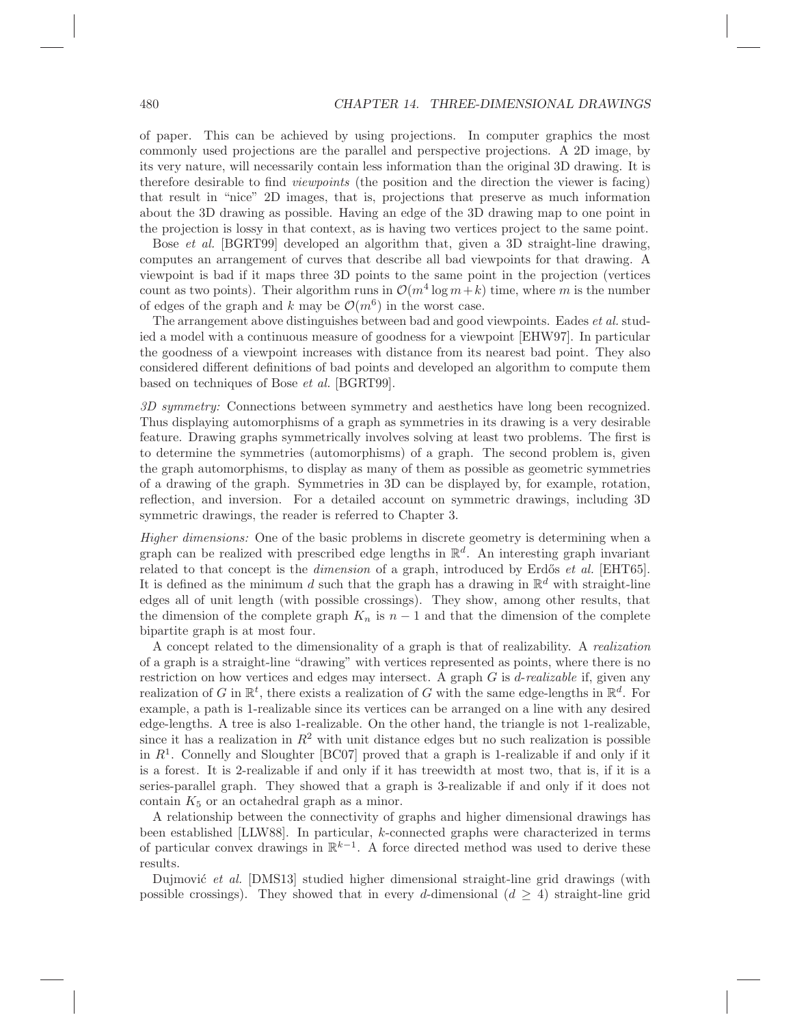of paper. This can be achieved by using projections. In computer graphics the most commonly used projections are the parallel and perspective projections. A 2D image, by its very nature, will necessarily contain less information than the original 3D drawing. It is therefore desirable to find viewpoints (the position and the direction the viewer is facing) that result in "nice" 2D images, that is, projections that preserve as much information about the 3D drawing as possible. Having an edge of the 3D drawing map to one point in the projection is lossy in that context, as is having two vertices project to the same point.

Bose et al. [BGRT99] developed an algorithm that, given a 3D straight-line drawing, computes an arrangement of curves that describe all bad viewpoints for that drawing. A viewpoint is bad if it maps three 3D points to the same point in the projection (vertices count as two points). Their algorithm runs in  $\mathcal{O}(m^4 \log m + k)$  time, where m is the number of edges of the graph and k may be  $\mathcal{O}(m^6)$  in the worst case.

The arrangement above distinguishes between bad and good viewpoints. Eades *et al.* studied a model with a continuous measure of goodness for a viewpoint [EHW97]. In particular the goodness of a viewpoint increases with distance from its nearest bad point. They also considered different definitions of bad points and developed an algorithm to compute them based on techniques of Bose et al. [BGRT99].

3D symmetry: Connections between symmetry and aesthetics have long been recognized. Thus displaying automorphisms of a graph as symmetries in its drawing is a very desirable feature. Drawing graphs symmetrically involves solving at least two problems. The first is to determine the symmetries (automorphisms) of a graph. The second problem is, given the graph automorphisms, to display as many of them as possible as geometric symmetries of a drawing of the graph. Symmetries in 3D can be displayed by, for example, rotation, reflection, and inversion. For a detailed account on symmetric drawings, including 3D symmetric drawings, the reader is referred to Chapter 3.

Higher dimensions: One of the basic problems in discrete geometry is determining when a graph can be realized with prescribed edge lengths in  $\mathbb{R}^d$ . An interesting graph invariant related to that concept is the *dimension* of a graph, introduced by Erdős et al. [EHT65]. It is defined as the minimum d such that the graph has a drawing in  $\mathbb{R}^d$  with straight-line edges all of unit length (with possible crossings). They show, among other results, that the dimension of the complete graph  $K_n$  is  $n-1$  and that the dimension of the complete bipartite graph is at most four.

A concept related to the dimensionality of a graph is that of realizability. A realization of a graph is a straight-line "drawing" with vertices represented as points, where there is no restriction on how vertices and edges may intersect. A graph  $G$  is  $d$ -realizable if, given any realization of G in  $\mathbb{R}^t$ , there exists a realization of G with the same edge-lengths in  $\mathbb{R}^d$ . For example, a path is 1-realizable since its vertices can be arranged on a line with any desired edge-lengths. A tree is also 1-realizable. On the other hand, the triangle is not 1-realizable, since it has a realization in  $R^2$  with unit distance edges but no such realization is possible in  $R<sup>1</sup>$ . Connelly and Sloughter [BC07] proved that a graph is 1-realizable if and only if it is a forest. It is 2-realizable if and only if it has treewidth at most two, that is, if it is a series-parallel graph. They showed that a graph is 3-realizable if and only if it does not contain  $K_5$  or an octahedral graph as a minor.

A relationship between the connectivity of graphs and higher dimensional drawings has been established [LLW88]. In particular, k-connected graphs were characterized in terms of particular convex drawings in  $\mathbb{R}^{k-1}$ . A force directed method was used to derive these results.

Dujmović et al. [DMS13] studied higher dimensional straight-line grid drawings (with possible crossings). They showed that in every d-dimensional  $(d \geq 4)$  straight-line grid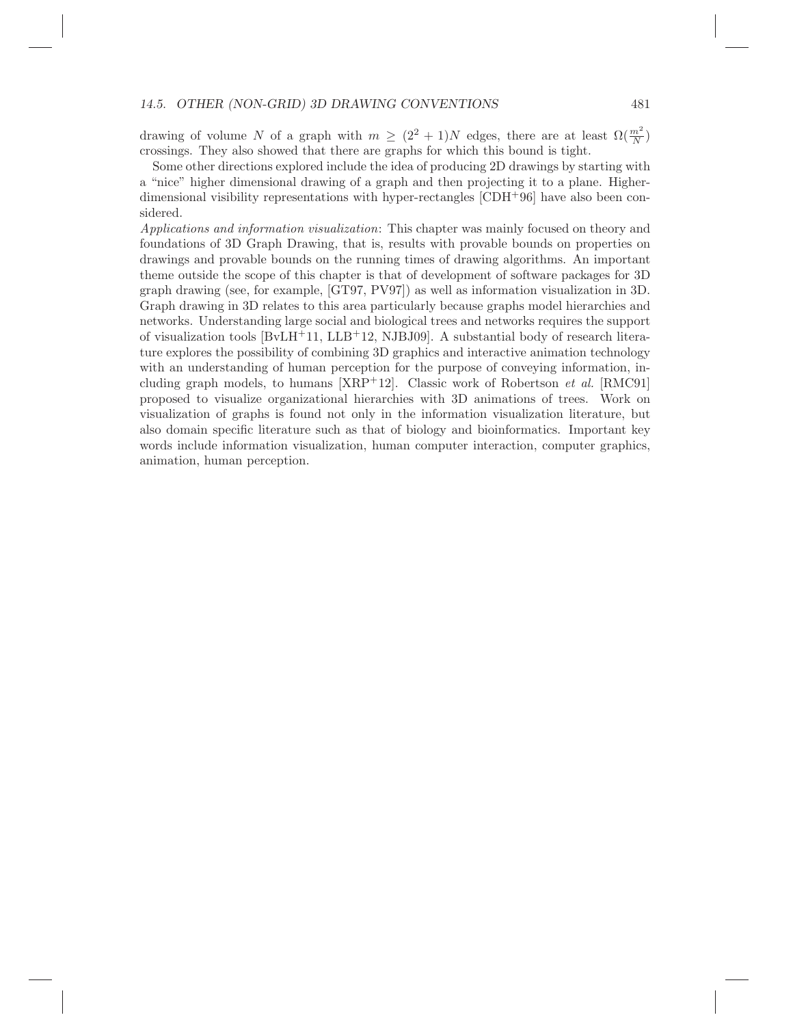#### 14.5. OTHER (NON-GRID) 3D DRAWING CONVENTIONS 481

drawing of volume N of a graph with  $m \geq (2^2 + 1)N$  edges, there are at least  $\Omega(\frac{m^2}{N})$ crossings. They also showed that there are graphs for which this bound is tight.

Some other directions explored include the idea of producing 2D drawings by starting with a "nice" higher dimensional drawing of a graph and then projecting it to a plane. Higherdimensional visibility representations with hyper-rectangles [CDH<sup>+</sup>96] have also been considered.

Applications and information visualization: This chapter was mainly focused on theory and foundations of 3D Graph Drawing, that is, results with provable bounds on properties on drawings and provable bounds on the running times of drawing algorithms. An important theme outside the scope of this chapter is that of development of software packages for 3D graph drawing (see, for example, [GT97, PV97]) as well as information visualization in 3D. Graph drawing in 3D relates to this area particularly because graphs model hierarchies and networks. Understanding large social and biological trees and networks requires the support of visualization tools  $[BvLH+11, LLB+12, NJBJ09]$ . A substantial body of research literature explores the possibility of combining 3D graphics and interactive animation technology with an understanding of human perception for the purpose of conveying information, including graph models, to humans  $[XRP<sup>+</sup>12]$ . Classic work of Robertson et al. [RMC91] proposed to visualize organizational hierarchies with 3D animations of trees. Work on visualization of graphs is found not only in the information visualization literature, but also domain specific literature such as that of biology and bioinformatics. Important key words include information visualization, human computer interaction, computer graphics, animation, human perception.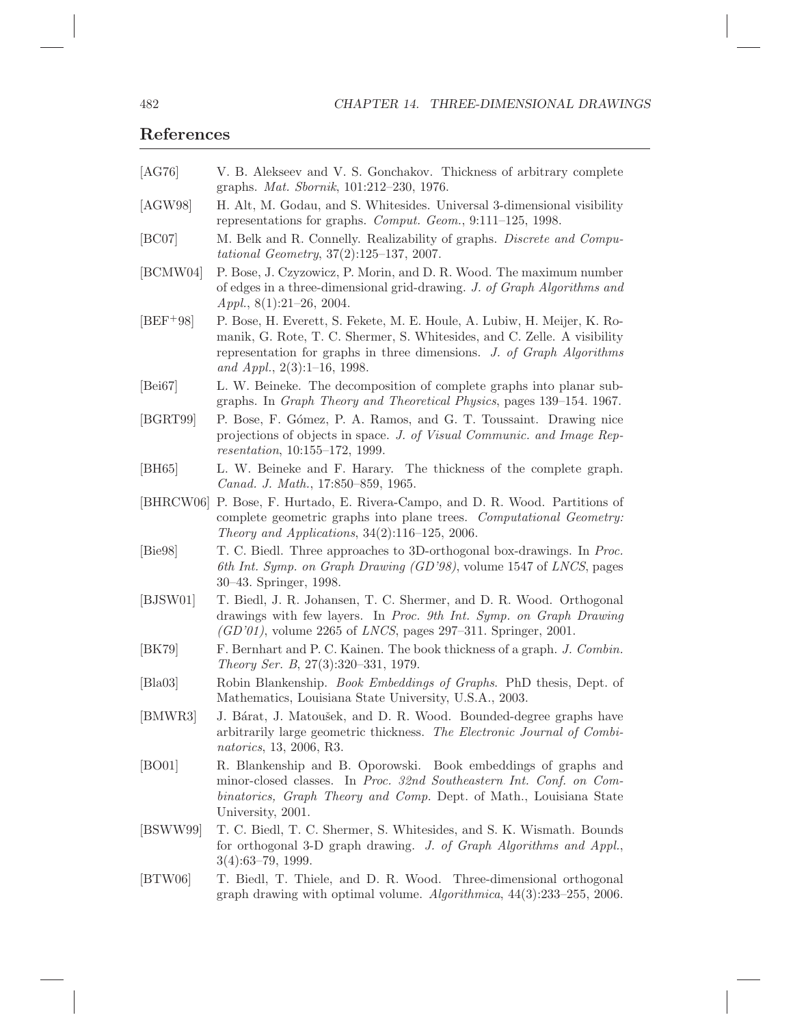### References

| [AG76]     | V. B. Alekseev and V. S. Gonchakov. Thickness of arbitrary complete<br>graphs. Mat. Sbornik, 101:212-230, 1976.                                                                                                                                                 |
|------------|-----------------------------------------------------------------------------------------------------------------------------------------------------------------------------------------------------------------------------------------------------------------|
| [AGW98]    | H. Alt, M. Godau, and S. Whitesides. Universal 3-dimensional visibility<br>representations for graphs. <i>Comput. Geom.</i> , 9:111-125, 1998.                                                                                                                  |
| [BC07]     | M. Belk and R. Connelly. Realizability of graphs. <i>Discrete and Compu</i> -<br>tational Geometry, $37(2):125-137$ , $2007$ .                                                                                                                                  |
| [BCMW04]   | P. Bose, J. Czyzowicz, P. Morin, and D. R. Wood. The maximum number<br>of edges in a three-dimensional grid-drawing. J. of Graph Algorithms and<br>$Appl., 8(1):21-26, 2004.$                                                                                   |
| $[BEF+98]$ | P. Bose, H. Everett, S. Fekete, M. E. Houle, A. Lubiw, H. Meijer, K. Ro-<br>manik, G. Rote, T. C. Shermer, S. Whitesides, and C. Zelle. A visibility<br>representation for graphs in three dimensions. J. of Graph Algorithms<br>and Appl., $2(3):1-16$ , 1998. |
| [Bei67]    | L. W. Beineke. The decomposition of complete graphs into planar sub-<br>graphs. In <i>Graph Theory and Theoretical Physics</i> , pages 139–154. 1967.                                                                                                           |
| [BGRT99]   | P. Bose, F. Gómez, P. A. Ramos, and G. T. Toussaint. Drawing nice<br>projections of objects in space. J. of Visual Communic. and Image Rep-<br>$resentation, 10:155-172, 1999.$                                                                                 |
| [BH65]     | L. W. Beineke and F. Harary. The thickness of the complete graph.<br>Canad. J. Math., 17:850-859, 1965.                                                                                                                                                         |
| [BHRCW06]  | P. Bose, F. Hurtado, E. Rivera-Campo, and D. R. Wood. Partitions of<br>complete geometric graphs into plane trees. Computational Geometry:<br><i>Theory and Applications</i> , $34(2):116-125$ , 2006.                                                          |
| [Bie98]    | T. C. Biedl. Three approaches to 3D-orthogonal box-drawings. In <i>Proc.</i><br>6th Int. Symp. on Graph Drawing (GD'98), volume 1547 of LNCS, pages<br>30–43. Springer, 1998.                                                                                   |
| [BJSW01]   | T. Biedl, J. R. Johansen, T. C. Shermer, and D. R. Wood. Orthogonal<br>drawings with few layers. In Proc. 9th Int. Symp. on Graph Drawing<br>$(GD'01)$ , volume 2265 of <i>LNCS</i> , pages 297-311. Springer, 2001.                                            |
| [BK79]     | F. Bernhart and P. C. Kainen. The book thickness of a graph. J. Combin.<br><i>Theory Ser. B</i> , $27(3):320-331$ , 1979.                                                                                                                                       |
| [Bla03]    | Robin Blankenship. <i>Book Embeddings of Graphs</i> . PhD thesis, Dept. of<br>Mathematics, Louisiana State University, U.S.A., 2003.                                                                                                                            |
| [BMWR3]    | J. Bárat, J. Matoušek, and D. R. Wood. Bounded-degree graphs have<br>arbitrarily large geometric thickness. The Electronic Journal of Combi-<br>natorics, 13, 2006, R3.                                                                                         |
| [BO01]     | R. Blankenship and B. Oporowski. Book embeddings of graphs and<br>minor-closed classes. In Proc. 32nd Southeastern Int. Conf. on Com-<br>binatorics, Graph Theory and Comp. Dept. of Math., Louisiana State<br>University, 2001.                                |
| [BSWW99]   | T. C. Biedl, T. C. Shermer, S. Whitesides, and S. K. Wismath. Bounds<br>for orthogonal 3-D graph drawing. J. of Graph Algorithms and Appl.,<br>$3(4):63-79, 1999.$                                                                                              |
| [BTW06]    | T. Biedl, T. Thiele, and D. R. Wood. Three-dimensional orthogonal<br>graph drawing with optimal volume. $Algorithmica$ , $44(3):233-255$ , 2006.                                                                                                                |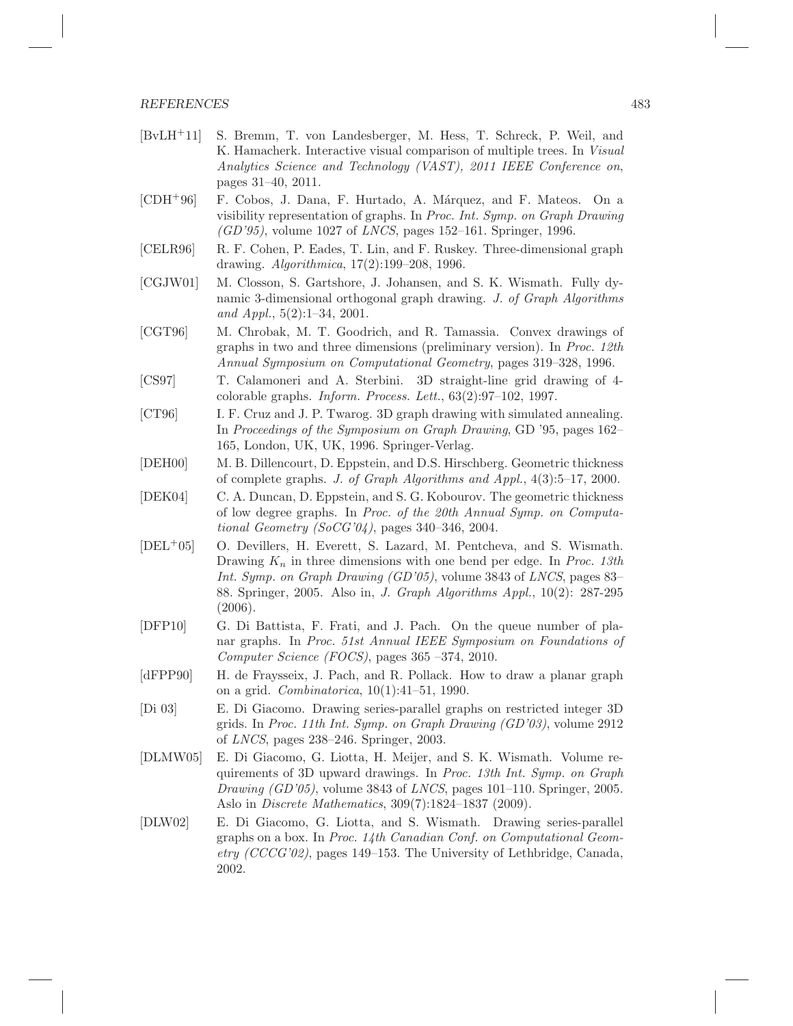#### REFERENCES 483

- [BvLH<sup>+</sup>11] S. Bremm, T. von Landesberger, M. Hess, T. Schreck, P. Weil, and K. Hamacherk. Interactive visual comparison of multiple trees. In Visual Analytics Science and Technology (VAST), 2011 IEEE Conference on, pages 31–40, 2011.
- $[CDH+96]$  F. Cobos, J. Dana, F. Hurtado, A. Márquez, and F. Mateos. On a visibility representation of graphs. In Proc. Int. Symp. on Graph Drawing  $(GD'95)$ , volume 1027 of *LNCS*, pages 152–161. Springer, 1996.
- [CELR96] R. F. Cohen, P. Eades, T. Lin, and F. Ruskey. Three-dimensional graph drawing. Algorithmica, 17(2):199–208, 1996.
- [CGJW01] M. Closson, S. Gartshore, J. Johansen, and S. K. Wismath. Fully dynamic 3-dimensional orthogonal graph drawing. J. of Graph Algorithms and Appl.,  $5(2):1-34$ ,  $2001$ .
- [CGT96] M. Chrobak, M. T. Goodrich, and R. Tamassia. Convex drawings of graphs in two and three dimensions (preliminary version). In Proc. 12th Annual Symposium on Computational Geometry, pages 319–328, 1996.
- [CS97] T. Calamoneri and A. Sterbini. 3D straight-line grid drawing of 4 colorable graphs. *Inform. Process. Lett.*,  $63(2):97-102$ , 1997.
- [CT96] I. F. Cruz and J. P. Twarog. 3D graph drawing with simulated annealing. In Proceedings of the Symposium on Graph Drawing, GD '95, pages 162– 165, London, UK, UK, 1996. Springer-Verlag.
- [DEH00] M. B. Dillencourt, D. Eppstein, and D.S. Hirschberg. Geometric thickness of complete graphs. J. of Graph Algorithms and Appl., 4(3):5–17, 2000.
- [DEK04] C. A. Duncan, D. Eppstein, and S. G. Kobourov. The geometric thickness of low degree graphs. In Proc. of the 20th Annual Symp. on Computational Geometry (SoCG'04), pages 340–346, 2004.
- [DEL<sup>+</sup>05] O. Devillers, H. Everett, S. Lazard, M. Pentcheva, and S. Wismath. Drawing  $K_n$  in three dimensions with one bend per edge. In Proc. 13th Int. Symp. on Graph Drawing (GD'05), volume 3843 of LNCS, pages 83– 88. Springer, 2005. Also in, J. Graph Algorithms Appl., 10(2): 287-295 (2006).
- [DFP10] G. Di Battista, F. Frati, and J. Pach. On the queue number of planar graphs. In Proc. 51st Annual IEEE Symposium on Foundations of Computer Science (FOCS), pages 365 –374, 2010.
- [dFPP90] H. de Fraysseix, J. Pach, and R. Pollack. How to draw a planar graph on a grid. Combinatorica, 10(1):41–51, 1990.
- [Di 03] E. Di Giacomo. Drawing series-parallel graphs on restricted integer 3D grids. In Proc. 11th Int. Symp. on Graph Drawing (GD'03), volume 2912 of LNCS, pages 238–246. Springer, 2003.
- [DLMW05] E. Di Giacomo, G. Liotta, H. Meijer, and S. K. Wismath. Volume requirements of 3D upward drawings. In Proc. 13th Int. Symp. on Graph Drawing  $(GD'05)$ , volume 3843 of LNCS, pages 101–110. Springer, 2005. Aslo in Discrete Mathematics, 309(7):1824–1837 (2009).
- [DLW02] E. Di Giacomo, G. Liotta, and S. Wismath. Drawing series-parallel graphs on a box. In Proc. 14th Canadian Conf. on Computational Geometry (CCCG'02), pages 149–153. The University of Lethbridge, Canada, 2002.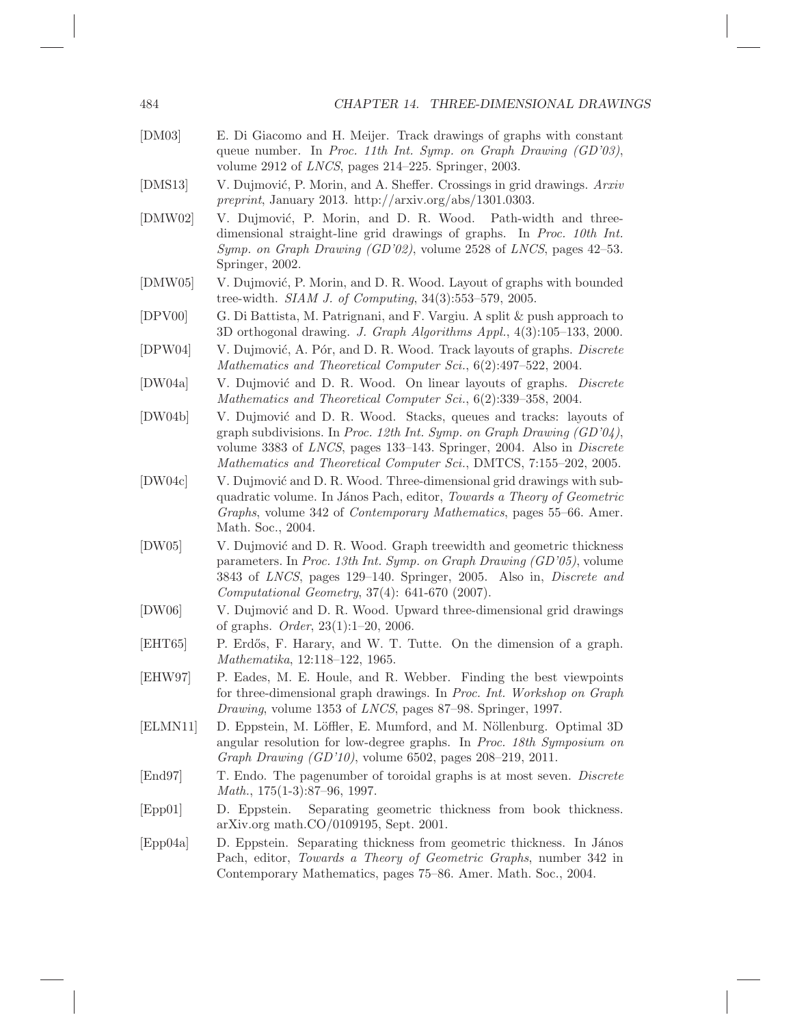| 484          | CHAPTER 14. THREE-DIMENSIONAL DRAWINGS                                                                                                                                                                                                                                                                      |
|--------------|-------------------------------------------------------------------------------------------------------------------------------------------------------------------------------------------------------------------------------------------------------------------------------------------------------------|
| [DM03]       | E. Di Giacomo and H. Meijer. Track drawings of graphs with constant<br>queue number. In Proc. 11th Int. Symp. on Graph Drawing $(GD'03)$ ,<br>volume 2912 of $LNCS$ , pages 214-225. Springer, 2003.                                                                                                        |
| [DMS13]      | V. Dujmović, P. Morin, and A. Sheffer. Crossings in grid drawings. Arxiv<br>preprint, January 2013. http://arxiv.org/abs/1301.0303.                                                                                                                                                                         |
| [DMW02]      | V. Dujmović, P. Morin, and D. R. Wood. Path-width and three-<br>dimensional straight-line grid drawings of graphs. In Proc. 10th Int.<br>Symp. on Graph Drawing (GD'02), volume 2528 of LNCS, pages 42-53.<br>Springer, 2002.                                                                               |
| [DMW05]      | V. Dujmović, P. Morin, and D. R. Wood. Layout of graphs with bounded<br>tree-width. <i>SIAM J. of Computing</i> , $34(3):553-579$ , 2005.                                                                                                                                                                   |
| [DPV00]      | G. Di Battista, M. Patrignani, and F. Vargiu. A split & push approach to<br>3D orthogonal drawing. J. Graph Algorithms Appl., 4(3):105-133, 2000.                                                                                                                                                           |
| [DPW04]      | V. Dujmović, A. Pór, and D. R. Wood. Track layouts of graphs. Discrete<br>Mathematics and Theoretical Computer Sci., 6(2):497-522, 2004.                                                                                                                                                                    |
| [DW04a]      | V. Dujmović and D. R. Wood. On linear layouts of graphs. Discrete<br>Mathematics and Theoretical Computer Sci., 6(2):339-358, 2004.                                                                                                                                                                         |
| [DW04b]      | V. Dujmović and D. R. Wood. Stacks, queues and tracks: layouts of<br>graph subdivisions. In Proc. 12th Int. Symp. on Graph Drawing $(GD'04)$ ,<br>volume 3383 of <i>LNCS</i> , pages 133–143. Springer, 2004. Also in <i>Discrete</i><br>Mathematics and Theoretical Computer Sci., DMTCS, 7:155-202, 2005. |
| [DW04c]      | V. Dujmović and D. R. Wood. Three-dimensional grid drawings with sub-<br>quadratic volume. In János Pach, editor, Towards a Theory of Geometric<br>Graphs, volume 342 of <i>Contemporary Mathematics</i> , pages 55–66. Amer.<br>Math. Soc., 2004.                                                          |
| [DW05]       | V. Dujmović and D. R. Wood. Graph treewidth and geometric thickness<br>parameters. In Proc. 13th Int. Symp. on Graph Drawing (GD'05), volume<br>3843 of LNCS, pages 129–140. Springer, 2005. Also in, Discrete and<br>Computational Geometry, $37(4)$ : 641-670 (2007).                                     |
| [DW06]       | V. Dujmović and D. R. Wood. Upward three-dimensional grid drawings<br>of graphs. <i>Order</i> , $23(1):1-20$ , $2006$ .                                                                                                                                                                                     |
| [EHT65]      | P. Erdős, F. Harary, and W. T. Tutte. On the dimension of a graph.<br>Mathematika, 12:118-122, 1965.                                                                                                                                                                                                        |
| <b>EHW97</b> | P. Eades, M. E. Houle, and R. Webber. Finding the best viewpoints<br>for three-dimensional graph drawings. In <i>Proc. Int. Workshop on Graph</i><br><i>Drawing</i> , volume 1353 of <i>LNCS</i> , pages 87–98. Springer, 1997.                                                                             |
| [ELMN11]     | D. Eppstein, M. Löffler, E. Mumford, and M. Nöllenburg. Optimal 3D<br>angular resolution for low-degree graphs. In Proc. 18th Symposium on<br>Graph Drawing (GD'10), volume 6502, pages $208-219$ , $2011$ .                                                                                                |
| [End97]      | T. Endo. The pagenumber of toroidal graphs is at most seven. <i>Discrete</i><br>Math., $175(1-3):87-96$ , 1997.                                                                                                                                                                                             |
| [Epp01]      | D. Eppstein.<br>Separating geometric thickness from book thickness.<br>$arXiv.org$ math. $CO/0109195$ , Sept. 2001.                                                                                                                                                                                         |
| [Epp04a]     | D. Eppstein. Separating thickness from geometric thickness. In János<br>Pach, editor, Towards a Theory of Geometric Graphs, number 342 in<br>Contemporary Mathematics, pages 75–86. Amer. Math. Soc., 2004.                                                                                                 |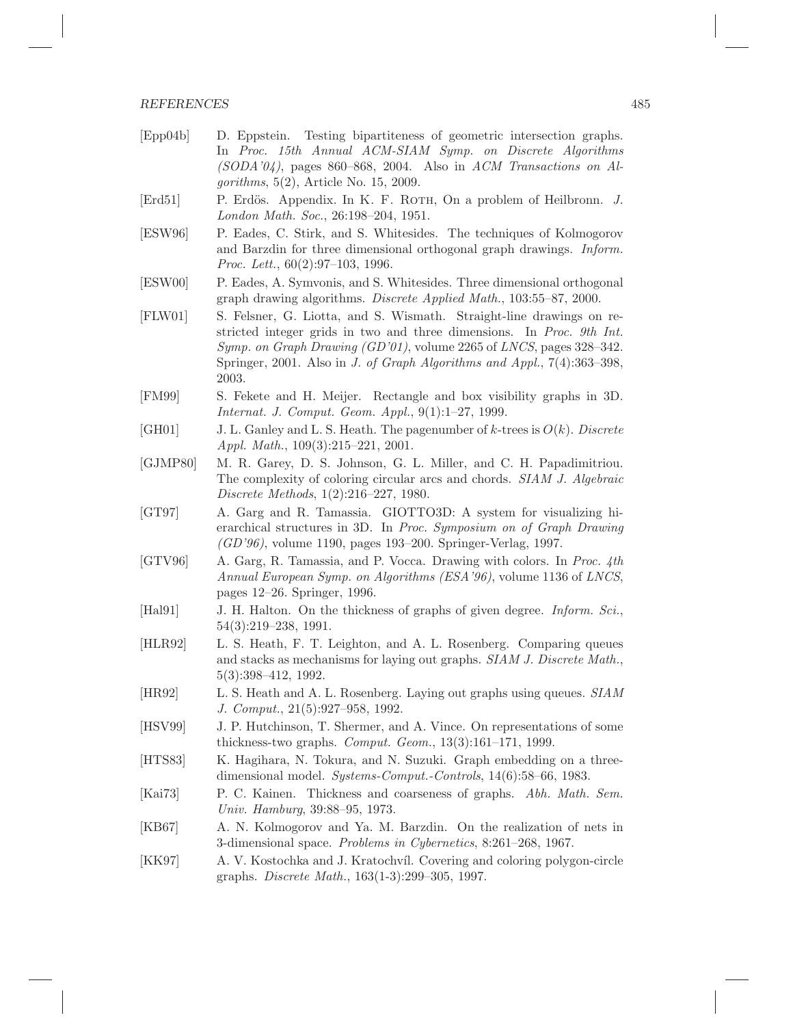#### REFERENCES 485

- [Epp04b] D. Eppstein. Testing bipartiteness of geometric intersection graphs. In Proc. 15th Annual ACM-SIAM Symp. on Discrete Algorithms  $(SODA'04)$ , pages 860–868, 2004. Also in ACM Transactions on Algorithms, 5(2), Article No. 15, 2009.
- [Erd51] P. Erdös. Appendix. In K. F. ROTH, On a problem of Heilbronn. J. London Math. Soc., 26:198–204, 1951.
- [ESW96] P. Eades, C. Stirk, and S. Whitesides. The techniques of Kolmogorov and Barzdin for three dimensional orthogonal graph drawings. Inform. Proc. Lett., 60(2):97–103, 1996.
- [ESW00] P. Eades, A. Symvonis, and S. Whitesides. Three dimensional orthogonal graph drawing algorithms. Discrete Applied Math., 103:55–87, 2000.
- [FLW01] S. Felsner, G. Liotta, and S. Wismath. Straight-line drawings on restricted integer grids in two and three dimensions. In Proc. 9th Int. Symp. on Graph Drawing (GD'01), volume 2265 of LNCS, pages 328–342. Springer, 2001. Also in *J. of Graph Algorithms and Appl.*, 7(4):363–398, 2003.
- [FM99] S. Fekete and H. Meijer. Rectangle and box visibility graphs in 3D. Internat. J. Comput. Geom. Appl., 9(1):1–27, 1999.
- [GH01] J. L. Ganley and L. S. Heath. The pagenumber of k-trees is  $O(k)$ . Discrete Appl. Math., 109(3):215–221, 2001.
- [GJMP80] M. R. Garey, D. S. Johnson, G. L. Miller, and C. H. Papadimitriou. The complexity of coloring circular arcs and chords. SIAM J. Algebraic Discrete Methods, 1(2):216–227, 1980.
- [GT97] A. Garg and R. Tamassia. GIOTTO3D: A system for visualizing hierarchical structures in 3D. In Proc. Symposium on of Graph Drawing (GD'96), volume 1190, pages 193–200. Springer-Verlag, 1997.
- [GTV96] A. Garg, R. Tamassia, and P. Vocca. Drawing with colors. In Proc. 4th Annual European Symp. on Algorithms (ESA'96), volume 1136 of LNCS, pages 12–26. Springer, 1996.
- [Hal91] J. H. Halton. On the thickness of graphs of given degree. *Inform. Sci.*, 54(3):219–238, 1991.
- [HLR92] L. S. Heath, F. T. Leighton, and A. L. Rosenberg. Comparing queues and stacks as mechanisms for laying out graphs. SIAM J. Discrete Math., 5(3):398–412, 1992.
- [HR92] L. S. Heath and A. L. Rosenberg. Laying out graphs using queues. SIAM J. Comput., 21(5):927–958, 1992.
- [HSV99] J. P. Hutchinson, T. Shermer, and A. Vince. On representations of some thickness-two graphs. Comput. Geom., 13(3):161–171, 1999.
- [HTS83] K. Hagihara, N. Tokura, and N. Suzuki. Graph embedding on a threedimensional model. Systems-Comput.-Controls, 14(6):58–66, 1983.
- [Kai73] P. C. Kainen. Thickness and coarseness of graphs. Abh. Math. Sem. Univ. Hamburg, 39:88–95, 1973.
- [KB67] A. N. Kolmogorov and Ya. M. Barzdin. On the realization of nets in 3-dimensional space. Problems in Cybernetics, 8:261–268, 1967.
- [KK97] A. V. Kostochka and J. Kratochvíl. Covering and coloring polygon-circle graphs. Discrete Math., 163(1-3):299–305, 1997.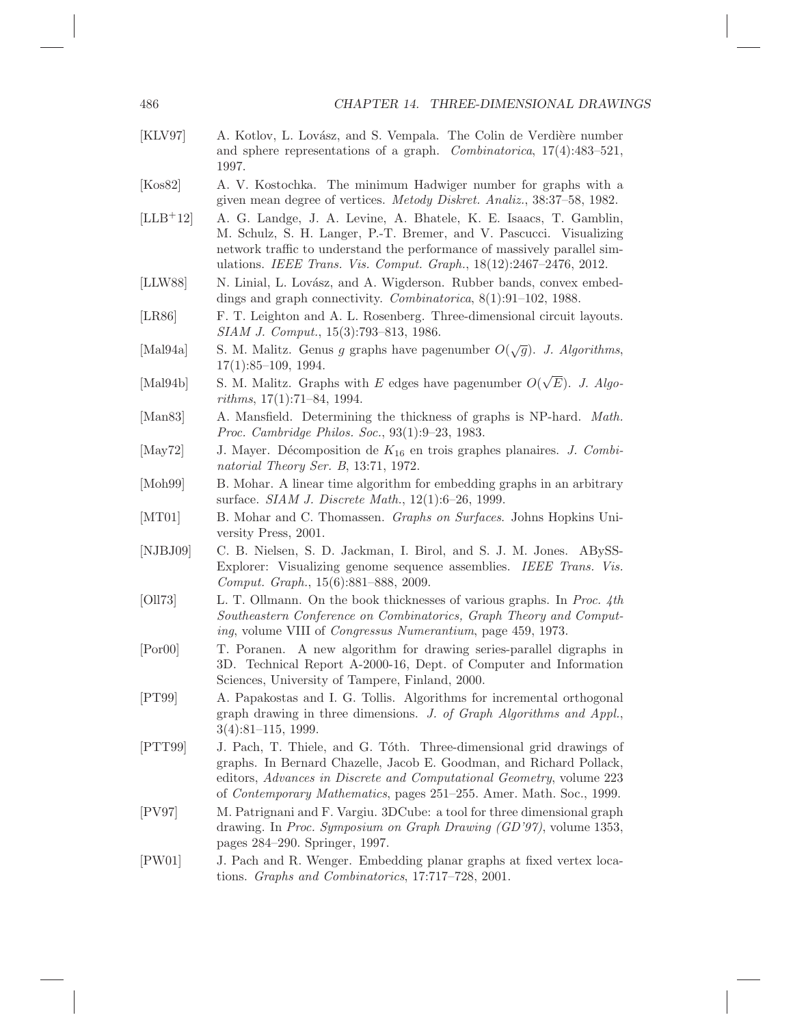| [KLV97] | A. Kotlov, L. Lovász, and S. Vempala. The Colin de Verdière number                  |  |
|---------|-------------------------------------------------------------------------------------|--|
|         | and sphere representations of a graph. <i>Combinatorica</i> , $17(4)$ : $483-521$ , |  |
|         | 1997.                                                                               |  |

- [Kos82] A. V. Kostochka. The minimum Hadwiger number for graphs with a given mean degree of vertices. Metody Diskret. Analiz., 38:37–58, 1982.
- [LLB<sup>+</sup>12] A. G. Landge, J. A. Levine, A. Bhatele, K. E. Isaacs, T. Gamblin, M. Schulz, S. H. Langer, P.-T. Bremer, and V. Pascucci. Visualizing network traffic to understand the performance of massively parallel simulations. IEEE Trans. Vis. Comput. Graph., 18(12):2467–2476, 2012.
- [LLW88] N. Linial, L. Lovász, and A. Wigderson. Rubber bands, convex embeddings and graph connectivity. Combinatorica, 8(1):91–102, 1988.
- [LR86] F. T. Leighton and A. L. Rosenberg. Three-dimensional circuit layouts. SIAM J. Comput., 15(3):793–813, 1986.
- [Mal94a] S. M. Malitz. Genus g graphs have pagenumber  $O(\sqrt{g})$ . J. Algorithms, 17(1):85–109, 1994.
- [Mal94b] S. M. Malitz. Graphs with E edges have pagenumber  $O(\sqrt{E})$ . J. Algo $rithms, 17(1):71–84, 1994.$
- [Man83] A. Mansfield. Determining the thickness of graphs is NP-hard. *Math.* Proc. Cambridge Philos. Soc., 93(1):9–23, 1983.
- [May72] J. Mayer. Décomposition de  $K_{16}$  en trois graphes planaires. J. Combinatorial Theory Ser. B, 13:71, 1972.
- [Moh99] B. Mohar. A linear time algorithm for embedding graphs in an arbitrary surface. SIAM J. Discrete Math., 12(1):6–26, 1999.
- [MT01] B. Mohar and C. Thomassen. *Graphs on Surfaces*. Johns Hopkins University Press, 2001.
- [NJBJ09] C. B. Nielsen, S. D. Jackman, I. Birol, and S. J. M. Jones. ABySS-Explorer: Visualizing genome sequence assemblies. IEEE Trans. Vis. Comput. Graph., 15(6):881–888, 2009.
- [Oll73] L. T. Ollmann. On the book thicknesses of various graphs. In Proc. 4th Southeastern Conference on Combinatorics, Graph Theory and Computing, volume VIII of Congressus Numerantium, page 459, 1973.
- [Por00] T. Poranen. A new algorithm for drawing series-parallel digraphs in 3D. Technical Report A-2000-16, Dept. of Computer and Information Sciences, University of Tampere, Finland, 2000.
- [PT99] A. Papakostas and I. G. Tollis. Algorithms for incremental orthogonal graph drawing in three dimensions. J. of Graph Algorithms and Appl., 3(4):81–115, 1999.
- [PTT99] J. Pach, T. Thiele, and G. Tóth. Three-dimensional grid drawings of graphs. In Bernard Chazelle, Jacob E. Goodman, and Richard Pollack, editors, Advances in Discrete and Computational Geometry, volume 223 of Contemporary Mathematics, pages 251–255. Amer. Math. Soc., 1999.
- [PV97] M. Patrignani and F. Vargiu. 3DCube: a tool for three dimensional graph drawing. In Proc. Symposium on Graph Drawing (GD'97), volume 1353, pages 284–290. Springer, 1997.
- [PW01] J. Pach and R. Wenger. Embedding planar graphs at fixed vertex locations. Graphs and Combinatorics, 17:717–728, 2001.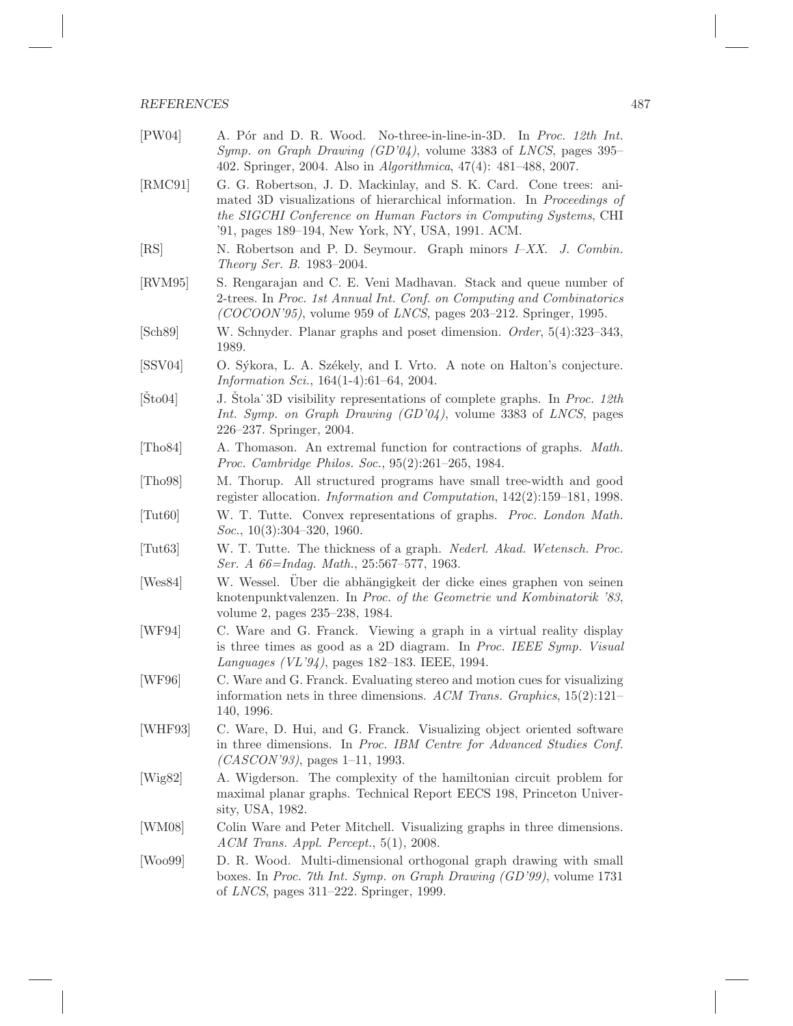#### REFERENCES 487

- [PW04] A. Pór and D. R. Wood. No-three-in-line-in-3D. In Proc. 12th Int. Symp. on Graph Drawing (GD'04), volume 3383 of LNCS, pages 395– 402. Springer, 2004. Also in Algorithmica, 47(4): 481–488, 2007.
- [RMC91] G. G. Robertson, J. D. Mackinlay, and S. K. Card. Cone trees: animated 3D visualizations of hierarchical information. In Proceedings of the SIGCHI Conference on Human Factors in Computing Systems, CHI '91, pages 189–194, New York, NY, USA, 1991. ACM.
- [RS] N. Robertson and P. D. Seymour. Graph minors I–XX. J. Combin. Theory Ser. B. 1983–2004.
- [RVM95] S. Rengarajan and C. E. Veni Madhavan. Stack and queue number of 2-trees. In Proc. 1st Annual Int. Conf. on Computing and Combinatorics  $(COCOON'95)$ , volume 959 of *LNCS*, pages 203–212. Springer, 1995.
- [Sch89] W. Schnyder. Planar graphs and poset dimension. Order, 5(4):323–343, 1989.
- [SSV04] O. Sýkora, L. A. Székely, and I. Vrto. A note on Halton's conjecture. Information Sci., 164(1-4):61–64, 2004.
- $[Sto04]$  J. Stola 3D visibility representations of complete graphs. In *Proc. 12th* Int. Symp. on Graph Drawing (GD'04), volume 3383 of LNCS, pages 226–237. Springer, 2004.
- [Tho84] A. Thomason. An extremal function for contractions of graphs. Math. Proc. Cambridge Philos. Soc., 95(2):261–265, 1984.
- [Tho98] M. Thorup. All structured programs have small tree-width and good register allocation. Information and Computation, 142(2):159–181, 1998.
- [Tut60] W. T. Tutte. Convex representations of graphs. Proc. London Math. Soc., 10(3):304–320, 1960.
- [Tut63] W. T. Tutte. The thickness of a graph. Nederl. Akad. Wetensch. Proc. Ser. A 66=Indag. Math., 25:567–577, 1963.
- [Wes84] W. Wessel. Über die abhängigkeit der dicke eines graphen von seinen knotenpunktvalenzen. In Proc. of the Geometrie und Kombinatorik '83, volume 2, pages 235–238, 1984.
- [WF94] C. Ware and G. Franck. Viewing a graph in a virtual reality display is three times as good as a 2D diagram. In Proc. IEEE Symp. Visual Languages (VL'94), pages 182–183. IEEE, 1994.
- [WF96] C. Ware and G. Franck. Evaluating stereo and motion cues for visualizing information nets in three dimensions. ACM Trans. Graphics, 15(2):121– 140, 1996.
- [WHF93] C. Ware, D. Hui, and G. Franck. Visualizing object oriented software in three dimensions. In Proc. IBM Centre for Advanced Studies Conf. (CASCON'93), pages 1–11, 1993.
- [Wig82] A. Wigderson. The complexity of the hamiltonian circuit problem for maximal planar graphs. Technical Report EECS 198, Princeton University, USA, 1982.
- [WM08] Colin Ware and Peter Mitchell. Visualizing graphs in three dimensions. ACM Trans. Appl. Percept., 5(1), 2008.
- [Woo99] D. R. Wood. Multi-dimensional orthogonal graph drawing with small boxes. In Proc. 7th Int. Symp. on Graph Drawing (GD'99), volume 1731 of LNCS, pages 311–222. Springer, 1999.